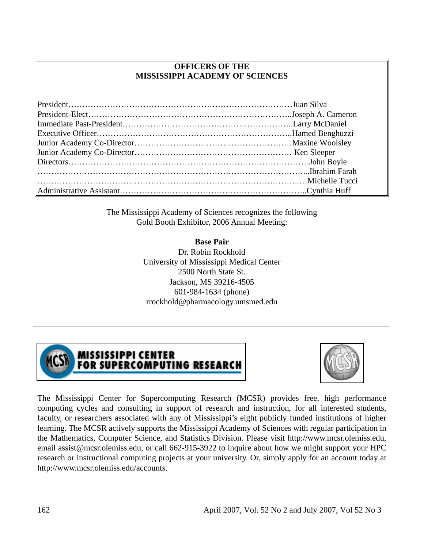#### **OFFICERS OF THE MISSISSIPPI ACADEMY OF SCIENCES**

The Mississippi Academy of Sciences recognizes the following Gold Booth Exhibitor, 2006 Annual Meeting:

> **Base Pair** Dr. Robin Rockhold University of Mississippi Medical Center 2500 North State St. Jackson, MS 39216-4505 601-984-1634 (phone) rrockhold@pharmacology.umsmed.edu



**MISSISSIPPI CENTER** FOR SUPERCOMPUTING RESEARCH



The Mississippi Center for Supercomputing Research (MCSR) provides free, high performance computing cycles and consulting in support of research and instruction, for all interested students, faculty, or researchers associated with any of Mississippi's eight publicly funded institutions of higher learning. The MCSR actively supports the Mississippi Academy of Sciences with regular participation in the Mathematics, Computer Science, and Statistics Division. Please visit http://www.mcsr.olemiss.edu, email assist@mcsr.olemiss.edu, or call 662-915-3922 to inquire about how we might support your HPC research or instructional computing projects at your university. Or, simply apply for an account today at http://www.mcsr.olemiss.edu/accounts.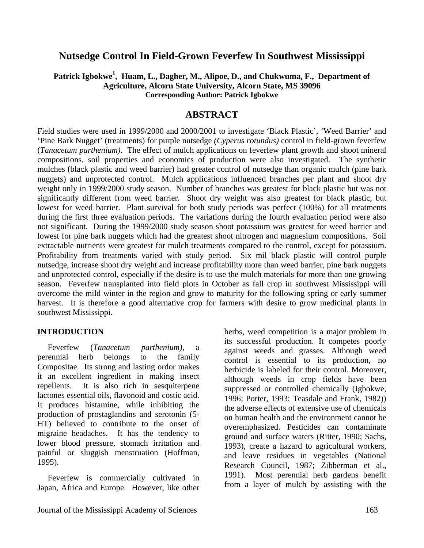#### **Nutsedge Control In Field-Grown Feverfew In Southwest Mississippi**

#### Patrick Igbokwe<sup>1</sup>, Huam, L., Dagher, M., Alipoe, D., and Chukwuma, F., Department of **Agriculture, Alcorn State University, Alcorn State, MS 39096 Corresponding Author: Patrick Igbokwe**

#### **ABSTRACT**

Field studies were used in 1999/2000 and 2000/2001 to investigate 'Black Plastic', 'Weed Barrier' and 'Pine Bark Nugget' (treatments) for purple nutsedge *(Cyperus rotundus)* control in field-grown feverfew (*Tanacetum parthenium).* The effect of mulch applications on feverfew plant growth and shoot mineral compositions, soil properties and economics of production were also investigated. The synthetic mulches (black plastic and weed barrier) had greater control of nutsedge than organic mulch (pine bark nuggets) and unprotected control. Mulch applications influenced branches per plant and shoot dry weight only in 1999/2000 study season. Number of branches was greatest for black plastic but was not significantly different from weed barrier. Shoot dry weight was also greatest for black plastic, but lowest for weed barrier. Plant survival for both study periods was perfect (100%) for all treatments during the first three evaluation periods. The variations during the fourth evaluation period were also not significant. During the 1999/2000 study season shoot potassium was greatest for weed barrier and lowest for pine bark nuggets which had the greatest shoot nitrogen and magnesium compositions. Soil extractable nutrients were greatest for mulch treatments compared to the control, except for potassium. Profitability from treatments varied with study period. Six mil black plastic will control purple nutsedge, increase shoot dry weight and increase profitability more than weed barrier, pine bark nuggets and unprotected control, especially if the desire is to use the mulch materials for more than one growing season. Feverfew transplanted into field plots in October as fall crop in southwest Mississippi will overcome the mild winter in the region and grow to maturity for the following spring or early summer harvest. It is therefore a good alternative crop for farmers with desire to grow medicinal plants in southwest Mississippi.

#### **INTRODUCTION**

 Feverfew (*Tanacetum parthenium)*, a perennial herb belongs to the family Compositae. Its strong and lasting ordor makes it an excellent ingredient in making insect repellents. It is also rich in sesquiterpene lactones essential oils, flavonoid and costic acid. It produces histamine, while inhibiting the production of prostaglandins and serotonin (5- HT) believed to contribute to the onset of migraine headaches. It has the tendency to lower blood pressure, stomach irritation and painful or sluggish menstruation (Hoffman, 1995).

 Feverfew is commercially cultivated in Japan, Africa and Europe. However, like other

herbs, weed competition is a major problem in its successful production. It competes poorly against weeds and grasses. Although weed control is essential to its production, no herbicide is labeled for their control. Moreover, although weeds in crop fields have been suppressed or controlled chemically (Igbokwe, 1996; Porter, 1993; Teasdale and Frank, 1982)) the adverse effects of extensive use of chemicals on human health and the environment cannot be overemphasized. Pesticides can contaminate ground and surface waters (Ritter, 1990; Sachs, 1993), create a hazard to agricultural workers, and leave residues in vegetables (National Research Council, 1987; Zibberman et al., 1991). Most perennial herb gardens benefit from a layer of mulch by assisting with the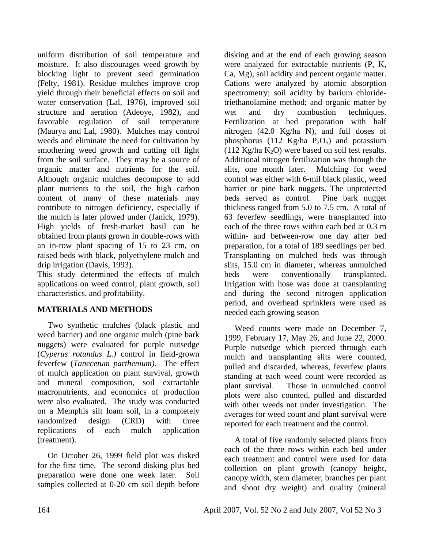uniform distribution of soil temperature and moisture. It also discourages weed growth by blocking light to prevent seed germination (Felty, 1981). Residue mulches improve crop yield through their beneficial effects on soil and water conservation (Lal, 1976), improved soil structure and aeration (Adeoye, 1982), and favorable regulation of soil temperature (Maurya and Lal, 1980). Mulches may control weeds and eliminate the need for cultivation by smothering weed growth and cutting off light from the soil surface. They may be a source of organic matter and nutrients for the soil. Although organic mulches decompose to add plant nutrients to the soil, the high carbon content of many of these materials may contribute to nitrogen deficiency, especially if the mulch is later plowed under (Janick, 1979). High yields of fresh-market basil can be obtained from plants grown in double-rows with an in-row plant spacing of 15 to 23 cm, on raised beds with black, polyethylene mulch and drip irrigation (Davis, 1993).

This study determined the effects of mulch applications on weed control, plant growth, soil characteristics, and profitability.

#### **MATERIALS AND METHODS**

 Two synthetic mulches (black plastic and weed barrier) and one organic mulch (pine bark nuggets) were evaluated for purple nutsedge (*Cyperus rotundus L.)* control in field-grown feverfew (*Tanecetum parthenium)*. The effect of mulch application on plant survival, growth and mineral composition, soil extractable macronutrients, and economics of production were also evaluated. The study was conducted on a Memphis silt loam soil, in a completely randomized design (CRD) with three replications of each mulch application (treatment).

 On October 26, 1999 field plot was disked for the first time. The second disking plus bed preparation were done one week later. Soil samples collected at 0-20 cm soil depth before

disking and at the end of each growing season were analyzed for extractable nutrients (P, K, Ca, Mg), soil acidity and percent organic matter. Cations were analyzed by atomic absorption spectrometry; soil acidity by barium chloridetriethanolamine method; and organic matter by wet and dry combustion techniques. Fertilization at bed preparation with half nitrogen (42.0 Kg/ha N), and full doses of phosphorus (112 Kg/ha  $P_2O_5$ ) and potassium (112 Kg/ha  $K_2O$ ) were based on soil test results. Additional nitrogen fertilization was through the slits, one month later. Mulching for weed control was either with 6-mil black plastic, weed barrier or pine bark nuggets. The unprotected beds served as control. Pine bark nugget thickness ranged from 5.0 to 7.5 cm. A total of 63 feverfew seedlings, were transplanted into each of the three rows within each bed at 0.3 m within- and between-row one day after bed preparation, for a total of 189 seedlings per bed. Transplanting on mulched beds was through slits, 15.0 cm in diameter, whereas unmulched beds were conventionally transplanted. Irrigation with hose was done at transplanting and during the second nitrogen application period, and overhead sprinklers were used as needed each growing season

 Weed counts were made on December 7, 1999, February 17, May 26, and June 22, 2000. Purple nutsedge which pierced through each mulch and transplanting slits were counted, pulled and discarded, whereas, feverfew plants standing at each weed count were recorded as plant survival. Those in unmulched control plots were also counted, pulled and discarded with other weeds not under investigation. The averages for weed count and plant survival were reported for each treatment and the control.

 A total of five randomly selected plants from each of the three rows within each bed under each treatment and control were used for data collection on plant growth (canopy height, canopy width, stem diameter, branches per plant and shoot dry weight) and quality (mineral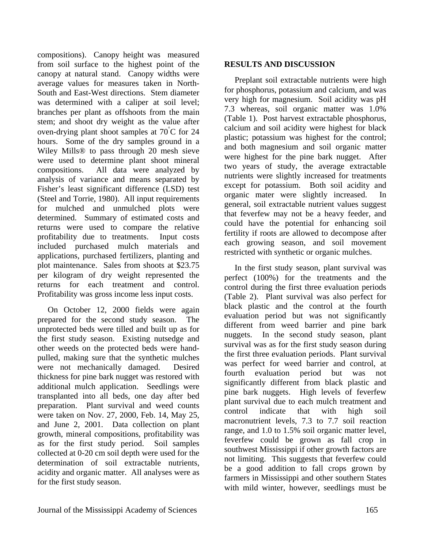compositions). Canopy height was measured from soil surface to the highest point of the canopy at natural stand. Canopy widths were average values for measures taken in North-South and East-West directions. Stem diameter was determined with a caliper at soil level; branches per plant as offshoots from the main stem; and shoot dry weight as the value after oven-drying plant shoot samples at 70° C for 24 hours. Some of the dry samples ground in a Wiley Mills® to pass through 20 mesh sieve were used to determine plant shoot mineral compositions. All data were analyzed by analysis of variance and means separated by Fisher's least significant difference (LSD) test (Steel and Torrie, 1980). All input requirements for mulched and unmulched plots were determined. Summary of estimated costs and returns were used to compare the relative profitability due to treatments. Input costs included purchased mulch materials and applications, purchased fertilizers, planting and plot maintenance. Sales from shoots at \$23.75 per kilogram of dry weight represented the returns for each treatment and control. Profitability was gross income less input costs.

 On October 12, 2000 fields were again prepared for the second study season. The unprotected beds were tilled and built up as for the first study season. Existing nutsedge and other weeds on the protected beds were handpulled, making sure that the synthetic mulches were not mechanically damaged. Desired thickness for pine bark nugget was restored with additional mulch application. Seedlings were transplanted into all beds, one day after bed preparation. Plant survival and weed counts were taken on Nov. 27, 2000, Feb. 14, May 25, and June 2, 2001. Data collection on plant growth, mineral compositions, profitability was as for the first study period. Soil samples collected at 0-20 cm soil depth were used for the determination of soil extractable nutrients, acidity and organic matter. All analyses were as for the first study season.

 Preplant soil extractable nutrients were high for phosphorus, potassium and calcium, and was very high for magnesium. Soil acidity was pH 7.3 whereas, soil organic matter was 1.0% (Table 1). Post harvest extractable phosphorus, calcium and soil acidity were highest for black plastic; potassium was highest for the control; and both magnesium and soil organic matter were highest for the pine bark nugget. After two years of study, the average extractable nutrients were slightly increased for treatments except for potassium. Both soil acidity and organic mater were slightly increased. In general, soil extractable nutrient values suggest that feverfew may not be a heavy feeder, and could have the potential for enhancing soil fertility if roots are allowed to decompose after each growing season, and soil movement restricted with synthetic or organic mulches.

 In the first study season, plant survival was perfect (100%) for the treatments and the control during the first three evaluation periods (Table 2). Plant survival was also perfect for black plastic and the control at the fourth evaluation period but was not significantly different from weed barrier and pine bark nuggets. In the second study season, plant survival was as for the first study season during the first three evaluation periods. Plant survival was perfect for weed barrier and control, at fourth evaluation period but was not significantly different from black plastic and pine bark nuggets. High levels of feverfew plant survival due to each mulch treatment and control indicate that with high soil macronutrient levels, 7.3 to 7.7 soil reaction range, and 1.0 to 1.5% soil organic matter level, feverfew could be grown as fall crop in southwest Mississippi if other growth factors are not limiting. This suggests that feverfew could be a good addition to fall crops grown by farmers in Mississippi and other southern States with mild winter, however, seedlings must be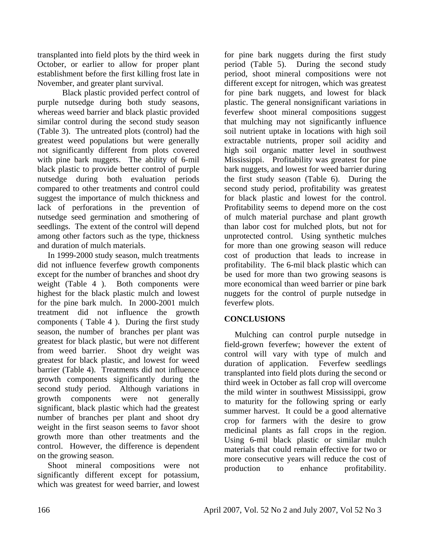transplanted into field plots by the third week in October, or earlier to allow for proper plant establishment before the first killing frost late in November, and greater plant survival.

Black plastic provided perfect control of purple nutsedge during both study seasons, whereas weed barrier and black plastic provided similar control during the second study season (Table 3). The untreated plots (control) had the greatest weed populations but were generally not significantly different from plots covered with pine bark nuggets. The ability of 6-mil black plastic to provide better control of purple nutsedge during both evaluation periods compared to other treatments and control could suggest the importance of mulch thickness and lack of perforations in the prevention of nutsedge seed germination and smothering of seedlings. The extent of the control will depend among other factors such as the type, thickness and duration of mulch materials.

 In 1999-2000 study season, mulch treatments did not influence feverfew growth components except for the number of branches and shoot dry weight (Table 4 ). Both components were highest for the black plastic mulch and lowest for the pine bark mulch. In 2000-2001 mulch treatment did not influence the growth components ( Table 4 ). During the first study season, the number of branches per plant was greatest for black plastic, but were not different from weed barrier. Shoot dry weight was greatest for black plastic, and lowest for weed barrier (Table 4). Treatments did not influence growth components significantly during the second study period. Although variations in growth components were not generally significant, black plastic which had the greatest number of branches per plant and shoot dry weight in the first season seems to favor shoot growth more than other treatments and the control. However, the difference is dependent on the growing season.

 Shoot mineral compositions were not significantly different except for potassium, which was greatest for weed barrier, and lowest

for pine bark nuggets during the first study period (Table 5). During the second study period, shoot mineral compositions were not different except for nitrogen, which was greatest for pine bark nuggets, and lowest for black plastic. The general nonsignificant variations in feverfew shoot mineral compositions suggest that mulching may not significantly influence soil nutrient uptake in locations with high soil extractable nutrients, proper soil acidity and high soil organic matter level in southwest Mississippi. Profitability was greatest for pine bark nuggets, and lowest for weed barrier during the first study season (Table 6). During the second study period, profitability was greatest for black plastic and lowest for the control. Profitability seems to depend more on the cost of mulch material purchase and plant growth than labor cost for mulched plots, but not for unprotected control. Using synthetic mulches for more than one growing season will reduce cost of production that leads to increase in profitability. The 6-mil black plastic which can be used for more than two growing seasons is more economical than weed barrier or pine bark nuggets for the control of purple nutsedge in feverfew plots.

#### **CONCLUSIONS**

 Mulching can control purple nutsedge in field-grown feverfew; however the extent of control will vary with type of mulch and duration of application. Feverfew seedlings transplanted into field plots during the second or third week in October as fall crop will overcome the mild winter in southwest Mississippi, grow to maturity for the following spring or early summer harvest. It could be a good alternative crop for farmers with the desire to grow medicinal plants as fall crops in the region. Using 6-mil black plastic or similar mulch materials that could remain effective for two or more consecutive years will reduce the cost of production to enhance profitability.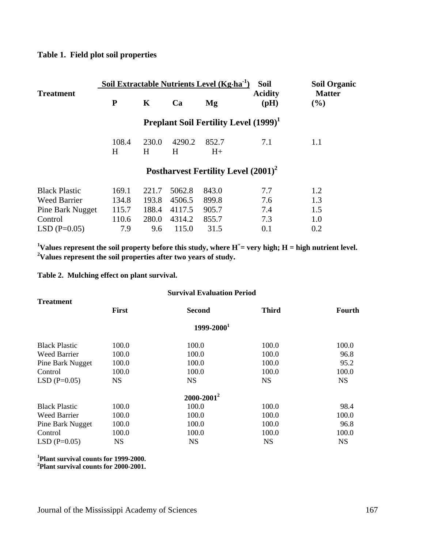#### **Table 1. Field plot soil properties**

|                      |            |            |             | Soil Extractable Nutrients Level (Kg·ha <sup>-1</sup> ) | <b>Soil</b>                                              | <b>Soil Organic</b>     |
|----------------------|------------|------------|-------------|---------------------------------------------------------|----------------------------------------------------------|-------------------------|
| <b>Treatment</b>     | ${\bf P}$  | K          | Ca          | Mg                                                      | <b>Acidity</b><br>(pH)                                   | <b>Matter</b><br>$(\%)$ |
|                      |            |            |             |                                                         | <b>Preplant Soil Fertility Level (1999)</b> <sup>1</sup> |                         |
|                      | 108.4<br>H | 230.0<br>H | 4290.2<br>H | 852.7<br>$H+$                                           | 7.1                                                      | 1.1                     |
|                      |            |            |             |                                                         | Postharvest Fertility Level $(2001)^2$                   |                         |
| <b>Black Plastic</b> | 169.1      | 221.7      | 5062.8      | 843.0                                                   | 7.7                                                      | 1.2                     |
| <b>Weed Barrier</b>  | 134.8      | 193.8      | 4506.5      | 899.8                                                   | 7.6                                                      | 1.3                     |
| Pine Bark Nugget     | 115.7      | 188.4      | 4117.5      | 905.7                                                   | 7.4                                                      | 1.5                     |
| Control              | 110.6      | 280.0      | 4314.2      | 855.7                                                   | 7.3                                                      | 1.0                     |
| $LSD(P=0.05)$        | 7.9        | 9.6        | 115.0       | 31.5                                                    | 0.1                                                      | 0.2                     |

<sup>1</sup><br>Values represent the soil property before this study, where H<sup>+</sup>= very high; H = high nutrient level. **2 Values represent the soil properties after two years of study.** 

**Table 2. Mulching effect on plant survival.** 

| <b>Treatment</b>     | <b>First</b> | <b>Second</b>          | <b>Third</b> | <b>Fourth</b> |
|----------------------|--------------|------------------------|--------------|---------------|
|                      |              | 1999-2000 <sup>1</sup> |              |               |
| <b>Black Plastic</b> | 100.0        | 100.0                  | 100.0        | 100.0         |
| <b>Weed Barrier</b>  | 100.0        | 100.0                  | 100.0        | 96.8          |
| Pine Bark Nugget     | 100.0        | 100.0                  | 100.0        | 95.2          |
| Control              | 100.0        | 100.0                  | 100.0        | 100.0         |
| $LSD(P=0.05)$        | <b>NS</b>    | <b>NS</b>              | <b>NS</b>    | <b>NS</b>     |
|                      |              | $2000 - 2001^2$        |              |               |
| <b>Black Plastic</b> | 100.0        | 100.0                  | 100.0        | 98.4          |
| <b>Weed Barrier</b>  | 100.0        | 100.0                  | 100.0        | 100.0         |
| Pine Bark Nugget     | 100.0        | 100.0                  | 100.0        | 96.8          |
| Control              | 100.0        | 100.0                  | 100.0        | 100.0         |
| $LSD(P=0.05)$        | <b>NS</b>    | <b>NS</b>              | <b>NS</b>    | <b>NS</b>     |

**1 Plant survival counts for 1999-2000.** 

**2 Plant survival counts for 2000-2001.**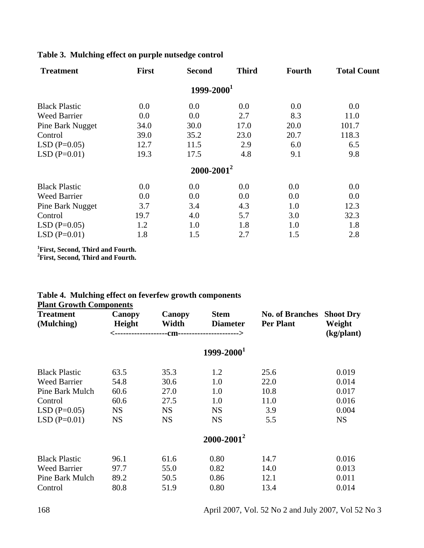#### **Table 3. Mulching effect on purple nutsedge control**

| <b>Treatment</b>     | <b>First</b> | <b>Second</b>   | <b>Third</b> | Fourth | <b>Total Count</b> |
|----------------------|--------------|-----------------|--------------|--------|--------------------|
|                      |              | $1999 - 2000^1$ |              |        |                    |
| <b>Black Plastic</b> | 0.0          | 0.0             | 0.0          | 0.0    | 0.0                |
| <b>Weed Barrier</b>  | 0.0          | 0.0             | 2.7          | 8.3    | 11.0               |
| Pine Bark Nugget     | 34.0         | 30.0            | 17.0         | 20.0   | 101.7              |
| Control              | 39.0         | 35.2            | 23.0         | 20.7   | 118.3              |
| $LSD(P=0.05)$        | 12.7         | 11.5            | 2.9          | 6.0    | 6.5                |
| $LSD(P=0.01)$        | 19.3         | 17.5            | 4.8          | 9.1    | 9.8                |
|                      |              | $2000 - 2001^2$ |              |        |                    |
| <b>Black Plastic</b> | 0.0          | 0.0             | 0.0          | 0.0    | 0.0                |
| <b>Weed Barrier</b>  | 0.0          | 0.0             | 0.0          | 0.0    | 0.0                |
| Pine Bark Nugget     | 3.7          | 3.4             | 4.3          | 1.0    | 12.3               |
| Control              | 19.7         | 4.0             | 5.7          | 3.0    | 32.3               |
| $LSD(P=0.05)$        | 1.2          | 1.0             | 1.8          | 1.0    | 1.8                |
| $LSD(P=0.01)$        | 1.8          | 1.5             | 2.7          | 1.5    | 2.8                |

**1 First, Second, Third and Fourth. 2 First, Second, Third and Fourth.** 

#### **Table 4. Mulching effect on feverfew growth components Plant Growth Components**

| <b>Treatment</b><br>(Mulching) | <b>Canopy</b><br>Height<br><----------- | Canopy<br>Width<br>--------CM-----------------------> | <b>Stem</b><br><b>Diameter</b> | <b>No. of Branches</b><br><b>Per Plant</b> | <b>Shoot Dry</b><br>Weight<br>(kg/plant) |
|--------------------------------|-----------------------------------------|-------------------------------------------------------|--------------------------------|--------------------------------------------|------------------------------------------|
|                                |                                         |                                                       | $1999 - 20001$                 |                                            |                                          |
| <b>Black Plastic</b>           | 63.5                                    | 35.3                                                  | 1.2                            | 25.6                                       | 0.019                                    |
| <b>Weed Barrier</b>            | 54.8                                    | 30.6                                                  | 1.0                            | 22.0                                       | 0.014                                    |
| Pine Bark Mulch                | 60.6                                    | 27.0                                                  | 1.0                            | 10.8                                       | 0.017                                    |
| Control                        | 60.6                                    | 27.5                                                  | 1.0                            | 11.0                                       | 0.016                                    |
| $LSD(P=0.05)$                  | <b>NS</b>                               | <b>NS</b>                                             | <b>NS</b>                      | 3.9                                        | 0.004                                    |
| $LSD(P=0.01)$                  | <b>NS</b>                               | <b>NS</b>                                             | <b>NS</b>                      | 5.5                                        | <b>NS</b>                                |
|                                |                                         |                                                       | $2000 - 2001^2$                |                                            |                                          |
| <b>Black Plastic</b>           | 96.1                                    | 61.6                                                  | 0.80                           | 14.7                                       | 0.016                                    |
| <b>Weed Barrier</b>            | 97.7                                    | 55.0                                                  | 0.82                           | 14.0                                       | 0.013                                    |
| Pine Bark Mulch                | 89.2                                    | 50.5                                                  | 0.86                           | 12.1                                       | 0.011                                    |
| Control                        | 80.8                                    | 51.9                                                  | 0.80                           | 13.4                                       | 0.014                                    |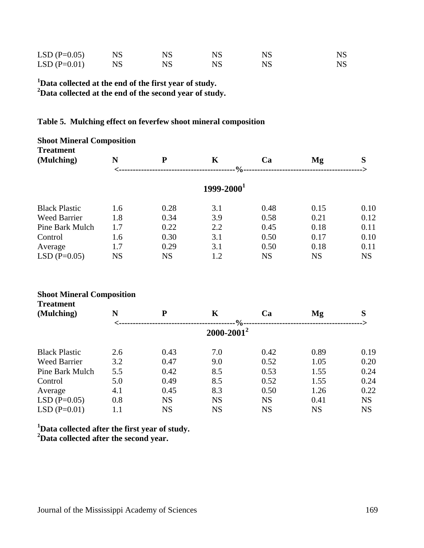| $LSD(P=0.05)$ | <b>NS</b> | <b>NS</b> | <b>NS</b> | <b>NS</b> |
|---------------|-----------|-----------|-----------|-----------|
| $LSD(P=0.01)$ | <b>NS</b> | <b>NS</b> | NS        | NS        |

**1 Data collected at the end of the first year of study. 2 Data collected at the end of the second year of study.** 

#### **Table 5. Mulching effect on feverfew shoot mineral composition**

| <b>Shoot Mineral Composition</b><br><b>Treatment</b> |           |           |                 |           |           |           |
|------------------------------------------------------|-----------|-----------|-----------------|-----------|-----------|-----------|
| (Mulching)                                           | N         | ${\bf P}$ | K               | Ca        | Mg        | S         |
|                                                      |           |           | $-9/0$          |           |           |           |
|                                                      |           |           | $1999 - 2000^1$ |           |           |           |
| <b>Black Plastic</b>                                 | 1.6       | 0.28      | 3.1             | 0.48      | 0.15      | 0.10      |
| <b>Weed Barrier</b>                                  | 1.8       | 0.34      | 3.9             | 0.58      | 0.21      | 0.12      |
| Pine Bark Mulch                                      | 1.7       | 0.22      | 2.2             | 0.45      | 0.18      | 0.11      |
| Control                                              | 1.6       | 0.30      | 3.1             | 0.50      | 0.17      | 0.10      |
| Average                                              | 1.7       | 0.29      | 3.1             | 0.50      | 0.18      | 0.11      |
| $LSD(P=0.05)$                                        | <b>NS</b> | <b>NS</b> | 1.2             | <b>NS</b> | <b>NS</b> | <b>NS</b> |

#### **Shoot Mineral Composition Treatment**

| N               | P         | K         | Ca        | Mg            | S         |  |  |  |
|-----------------|-----------|-----------|-----------|---------------|-----------|--|--|--|
| $2000 - 2001^2$ |           |           |           |               |           |  |  |  |
| 2.6             | 0.43      | 7.0       | 0.42      | 0.89          | 0.19      |  |  |  |
| 3.2             | 0.47      | 9.0       | 0.52      | 1.05          | 0.20      |  |  |  |
| 5.5             | 0.42      | 8.5       | 0.53      | 1.55          | 0.24      |  |  |  |
| 5.0             | 0.49      | 8.5       | 0.52      | 1.55          | 0.24      |  |  |  |
| 4.1             | 0.45      | 8.3       | 0.50      | 1.26          | 0.22      |  |  |  |
| 0.8             | <b>NS</b> | <b>NS</b> | <b>NS</b> | 0.41          | <b>NS</b> |  |  |  |
| 1.1             | <b>NS</b> | <b>NS</b> | <b>NS</b> | <b>NS</b>     | <b>NS</b> |  |  |  |
|                 |           |           |           | $\frac{0}{0}$ |           |  |  |  |

**1 Data collected after the first year of study. 2 Data collected after the second year.**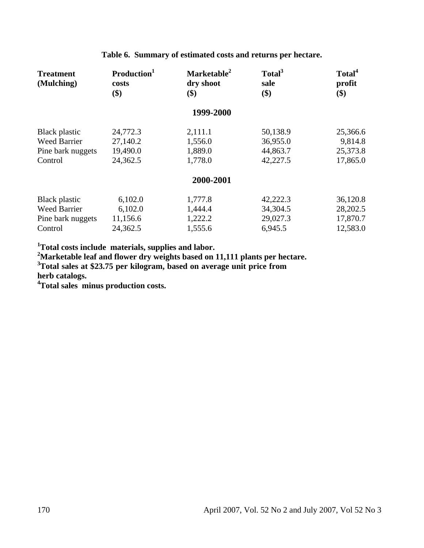| <b>Treatment</b><br>(Mulching)                                       | Production <sup>1</sup><br>costs<br>\$)      | Marketable <sup>2</sup><br>dry shoot<br>\$) | Total <sup>3</sup><br>sale<br>\$)            | Total <sup>4</sup><br>profit<br>\$)          |
|----------------------------------------------------------------------|----------------------------------------------|---------------------------------------------|----------------------------------------------|----------------------------------------------|
|                                                                      |                                              | 1999-2000                                   |                                              |                                              |
| Black plastic<br><b>Weed Barrier</b><br>Pine bark nuggets<br>Control | 24,772.3<br>27,140.2<br>19,490.0<br>24,362.5 | 2,111.1<br>1,556.0<br>1,889.0<br>1,778.0    | 50,138.9<br>36,955.0<br>44,863.7<br>42,227.5 | 25,366.6<br>9,814.8<br>25,373.8<br>17,865.0  |
|                                                                      |                                              | 2000-2001                                   |                                              |                                              |
| Black plastic<br><b>Weed Barrier</b><br>Pine bark nuggets<br>Control | 6,102.0<br>6,102.0<br>11,156.6<br>24,362.5   | 1,777.8<br>1,444.4<br>1,222.2<br>1,555.6    | 42,222.3<br>34,304.5<br>29,027.3<br>6,945.5  | 36,120.8<br>28,202.5<br>17,870.7<br>12,583.0 |

**Table 6. Summary of estimated costs and returns per hectare.** 

<sup>1</sup>Total costs include materials, supplies and labor.<br><sup>2</sup>Marketable leaf and flower dry weights based on 11,111 plants per hectare.<br><sup>3</sup>Total sales at \$23.75 per kilogram, based on average unit price from

**herb catalogs.** 

**4 Total sales minus production costs.**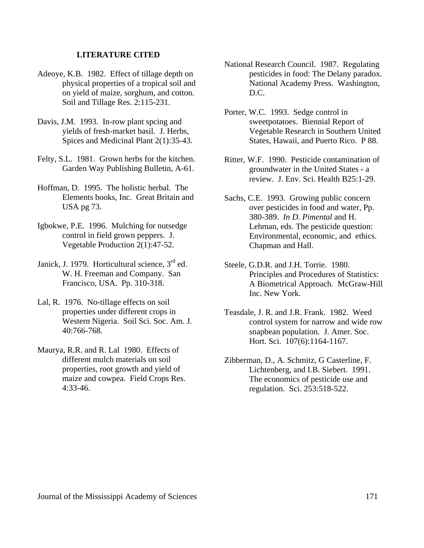#### **LITERATURE CITED**

- Adeoye, K.B. 1982. Effect of tillage depth on physical properties of a tropical soil and on yield of maize, sorghum, and cotton. Soil and Tillage Res. 2:115-231.
- Davis, J.M. 1993. In-row plant spcing and yields of fresh-market basil. J. Herbs, Spices and Medicinal Plant 2(1):35-43.
- Felty, S.L. 1981. Grown herbs for the kitchen. Garden Way Publishing Bulletin, A-61.
- Hoffman, D. 1995. The holistic herbal. The Elements books, Inc. Great Britain and USA pg 73.
- Igbokwe, P.E. 1996. Mulching for nutsedge control in field grown peppers. J. Vegetable Production 2(1):47-52.
- Janick, J. 1979. Horticultural science,  $3<sup>rd</sup>$  ed. W. H. Freeman and Company. San Francisco, USA. Pp. 310-318.
- Lal, R. 1976. No-tillage effects on soil properties under different crops in Western Nigeria. Soil Sci. Soc. Am. J. 40:766-768.
- Maurya, R.R. and R. Lal 1980. Effects of different mulch materials on soil properties, root growth and yield of maize and cowpea. Field Crops Res. 4:33-46.
- National Research Council. 1987. Regulating pesticides in food: The Delany paradox. National Academy Press. Washington, D.C.
- Porter, W.C. 1993. Sedge control in sweetpotatoes. Biennial Report of Vegetable Research in Southern United States, Hawaii, and Puerto Rico. P 88.
- Ritter, W.F. 1990. Pesticide contamination of groundwater in the United States - a review. J. Env. Sci. Health B25:1-29.
- Sachs, C.E. 1993. Growing public concern over pesticides in food and water, Pp. 380-389. *In D. Pimental* and H. Lehman, eds. The pesticide question: Environmental, economic, and ethics. Chapman and Hall.
- Steele, G.D.R. and J.H. Torrie. 1980. Principles and Procedures of Statistics: A Biometrical Approach. McGraw-Hill Inc. New York.
- Teasdale, J. R. and J.R. Frank. 1982. Weed control system for narrow and wide row snapbean population. J. Amer. Soc. Hort. Sci. 107(6):1164-1167.
- Zibberman, D., A. Schmitz, G Casterline, F. Lichtenberg, and I.B. Siebert. 1991. The economics of pesticide use and regulation. Sci. 253:518-522.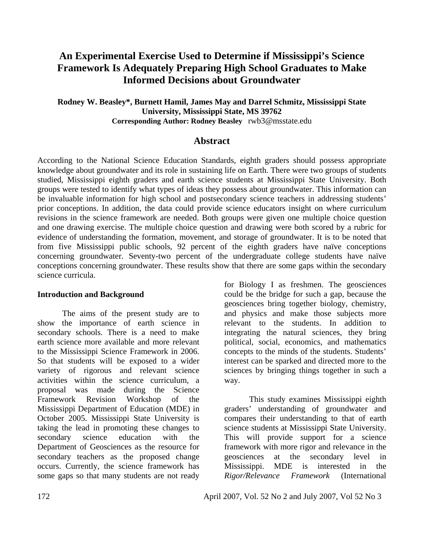#### **An Experimental Exercise Used to Determine if Mississippi's Science Framework Is Adequately Preparing High School Graduates to Make Informed Decisions about Groundwater**

**Rodney W. Beasley\*, Burnett Hamil, James May and Darrel Schmitz, Mississippi State University, Mississippi State, MS 39762 Corresponding Author: Rodney Beasley** rwb3@msstate.edu

#### **Abstract**

According to the National Science Education Standards, eighth graders should possess appropriate knowledge about groundwater and its role in sustaining life on Earth. There were two groups of students studied, Mississippi eighth graders and earth science students at Mississippi State University. Both groups were tested to identify what types of ideas they possess about groundwater. This information can be invaluable information for high school and postsecondary science teachers in addressing students' prior conceptions. In addition, the data could provide science educators insight on where curriculum revisions in the science framework are needed. Both groups were given one multiple choice question and one drawing exercise. The multiple choice question and drawing were both scored by a rubric for evidence of understanding the formation, movement, and storage of groundwater. It is to be noted that from five Mississippi public schools, 92 percent of the eighth graders have naïve conceptions concerning groundwater. Seventy-two percent of the undergraduate college students have naïve conceptions concerning groundwater. These results show that there are some gaps within the secondary science curricula.

#### **Introduction and Background**

 The aims of the present study are to show the importance of earth science in secondary schools. There is a need to make earth science more available and more relevant to the Mississippi Science Framework in 2006. So that students will be exposed to a wider variety of rigorous and relevant science activities within the science curriculum, a proposal was made during the Science Framework Revision Workshop of the Mississippi Department of Education (MDE) in October 2005. Mississippi State University is taking the lead in promoting these changes to secondary science education with the Department of Geosciences as the resource for secondary teachers as the proposed change occurs. Currently, the science framework has some gaps so that many students are not ready

for Biology I as freshmen. The geosciences could be the bridge for such a gap, because the geosciences bring together biology, chemistry, and physics and make those subjects more relevant to the students. In addition to integrating the natural sciences, they bring political, social, economics, and mathematics concepts to the minds of the students. Students' interest can be sparked and directed more to the sciences by bringing things together in such a way.

 This study examines Mississippi eighth graders' understanding of groundwater and compares their understanding to that of earth science students at Mississippi State University. This will provide support for a science framework with more rigor and relevance in the geosciences at the secondary level in Mississippi. MDE is interested in the *Rigor/Relevance Framework* (International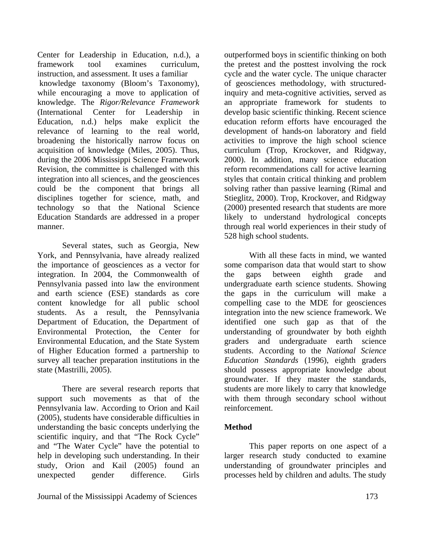Center for Leadership in Education, n.d.), a framework tool examines curriculum, instruction, and assessment. It uses a familiar knowledge taxonomy (Bloom's Taxonomy), while encouraging a move to application of knowledge. The *Rigor/Relevance Framework* (International Center for Leadership in Education, n.d.) helps make explicit the relevance of learning to the real world, broadening the historically narrow focus on acquisition of knowledge (Miles, 2005). Thus, during the 2006 Mississippi Science Framework Revision, the committee is challenged with this integration into all sciences, and the geosciences could be the component that brings all disciplines together for science, math, and technology so that the National Science Education Standards are addressed in a proper manner.

 Several states, such as Georgia, New York, and Pennsylvania, have already realized the importance of geosciences as a vector for integration. In 2004, the Commonwealth of Pennsylvania passed into law the environment and earth science (ESE) standards as core content knowledge for all public school students. As a result, the Pennsylvania Department of Education, the Department of Environmental Protection, the Center for Environmental Education, and the State System of Higher Education formed a partnership to survey all teacher preparation institutions in the state (Mastrilli, 2005).

There are several research reports that support such movements as that of the Pennsylvania law. According to Orion and Kail (2005), students have considerable difficulties in understanding the basic concepts underlying the scientific inquiry, and that "The Rock Cycle" and "The Water Cycle" have the potential to help in developing such understanding. In their study, Orion and Kail (2005) found an unexpected gender difference. Girls

Journal of the Mississippi Academy of Sciences 173

outperformed boys in scientific thinking on both the pretest and the posttest involving the rock cycle and the water cycle. The unique character of geosciences methodology, with structuredinquiry and meta-cognitive activities, served as an appropriate framework for students to develop basic scientific thinking. Recent science education reform efforts have encouraged the development of hands-on laboratory and field activities to improve the high school science curriculum (Trop, Krockover, and Ridgway, 2000). In addition, many science education reform recommendations call for active learning styles that contain critical thinking and problem solving rather than passive learning (Rimal and Stieglitz, 2000). Trop, Krockover, and Ridgway (2000) presented research that students are more likely to understand hydrological concepts through real world experiences in their study of 528 high school students.

With all these facts in mind, we wanted some comparison data that would start to show the gaps between eighth grade and undergraduate earth science students. Showing the gaps in the curriculum will make a compelling case to the MDE for geosciences integration into the new science framework. We identified one such gap as that of the understanding of groundwater by both eighth graders and undergraduate earth science students. According to the *National Science Education Standards* (1996), eighth graders should possess appropriate knowledge about groundwater. If they master the standards, students are more likely to carry that knowledge with them through secondary school without reinforcement.

#### **Method**

 This paper reports on one aspect of a larger research study conducted to examine understanding of groundwater principles and processes held by children and adults. The study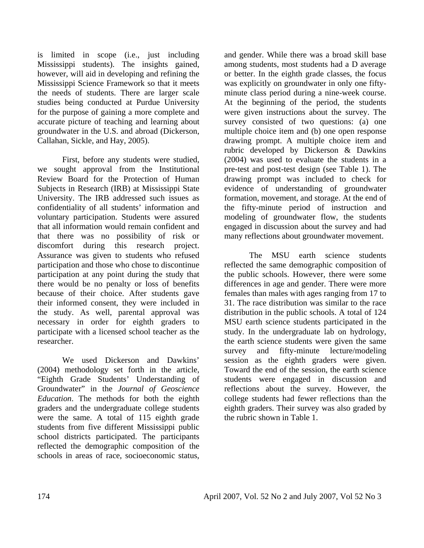is limited in scope (i.e., just including Mississippi students). The insights gained, however, will aid in developing and refining the Mississippi Science Framework so that it meets the needs of students. There are larger scale studies being conducted at Purdue University for the purpose of gaining a more complete and accurate picture of teaching and learning about groundwater in the U.S. and abroad (Dickerson, Callahan, Sickle, and Hay, 2005).

 First, before any students were studied, we sought approval from the Institutional Review Board for the Protection of Human Subjects in Research (IRB) at Mississippi State University. The IRB addressed such issues as confidentiality of all students' information and voluntary participation. Students were assured that all information would remain confident and that there was no possibility of risk or discomfort during this research project. Assurance was given to students who refused participation and those who chose to discontinue participation at any point during the study that there would be no penalty or loss of benefits because of their choice. After students gave their informed consent, they were included in the study. As well, parental approval was necessary in order for eighth graders to participate with a licensed school teacher as the researcher.

 We used Dickerson and Dawkins' (2004) methodology set forth in the article, "Eighth Grade Students' Understanding of Groundwater" in the *Journal of Geoscience Education*. The methods for both the eighth graders and the undergraduate college students were the same. A total of 115 eighth grade students from five different Mississippi public school districts participated. The participants reflected the demographic composition of the schools in areas of race, socioeconomic status,

and gender. While there was a broad skill base among students, most students had a D average or better. In the eighth grade classes, the focus was explicitly on groundwater in only one fiftyminute class period during a nine-week course. At the beginning of the period, the students were given instructions about the survey. The survey consisted of two questions: (a) one multiple choice item and (b) one open response drawing prompt. A multiple choice item and rubric developed by Dickerson & Dawkins (2004) was used to evaluate the students in a pre-test and post-test design (see Table 1). The drawing prompt was included to check for evidence of understanding of groundwater formation, movement, and storage. At the end of the fifty-minute period of instruction and modeling of groundwater flow, the students engaged in discussion about the survey and had many reflections about groundwater movement.

The MSU earth science students reflected the same demographic composition of the public schools. However, there were some differences in age and gender. There were more females than males with ages ranging from 17 to 31. The race distribution was similar to the race distribution in the public schools. A total of 124 MSU earth science students participated in the study. In the undergraduate lab on hydrology, the earth science students were given the same survey and fifty-minute lecture/modeling session as the eighth graders were given. Toward the end of the session, the earth science students were engaged in discussion and reflections about the survey. However, the college students had fewer reflections than the eighth graders. Their survey was also graded by the rubric shown in Table 1.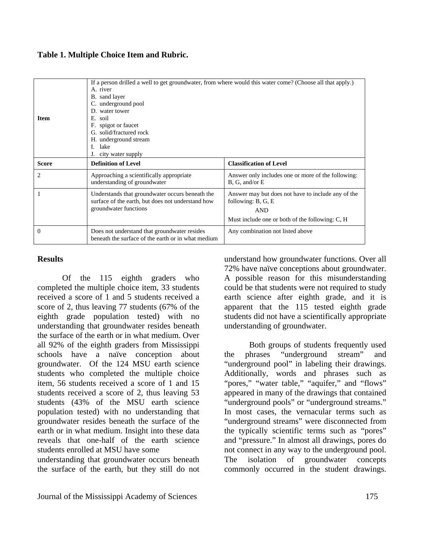| <b>Item</b>  | If a person drilled a well to get groundwater, from where would this water come? (Choose all that apply.)<br>A. river<br>B. sand layer<br>C. underground pool<br>D. water tower<br>E. soil<br>spigot or faucet<br>F.<br>G. solid/fractured rock<br>H. underground stream<br>lake<br>L<br>city water supply |                                                                                                                                           |  |  |
|--------------|------------------------------------------------------------------------------------------------------------------------------------------------------------------------------------------------------------------------------------------------------------------------------------------------------------|-------------------------------------------------------------------------------------------------------------------------------------------|--|--|
| <b>Score</b> | <b>Definition of Level</b>                                                                                                                                                                                                                                                                                 | <b>Classification of Level</b>                                                                                                            |  |  |
| 2            | Approaching a scientifically appropriate<br>understanding of groundwater                                                                                                                                                                                                                                   | Answer only includes one or more of the following:<br>B, G, and/or E                                                                      |  |  |
|              | Understands that groundwater occurs beneath the<br>surface of the earth, but does not understand how<br>groundwater functions                                                                                                                                                                              | Answer may but does not have to include any of the<br>following: B, G, E<br><b>AND</b><br>Must include one or both of the following: C, H |  |  |
| $\Omega$     | Does not understand that groundwater resides<br>beneath the surface of the earth or in what medium                                                                                                                                                                                                         | Any combination not listed above                                                                                                          |  |  |

#### **Table 1. Multiple Choice Item and Rubric.**

#### **Results**

 Of the 115 eighth graders who completed the multiple choice item, 33 students received a score of 1 and 5 students received a score of 2, thus leaving 77 students (67% of the eighth grade population tested) with no understanding that groundwater resides beneath the surface of the earth or in what medium. Over all 92% of the eighth graders from Mississippi schools have a naïve conception about groundwater. Of the 124 MSU earth science students who completed the multiple choice item, 56 students received a score of 1 and 15 students received a score of 2, thus leaving 53 students (43% of the MSU earth science population tested) with no understanding that groundwater resides beneath the surface of the earth or in what medium. Insight into these data reveals that one-half of the earth science students enrolled at MSU have some

understanding that groundwater occurs beneath the surface of the earth, but they still do not

understand how groundwater functions. Over all 72% have naïve conceptions about groundwater. A possible reason for this misunderstanding could be that students were not required to study earth science after eighth grade, and it is apparent that the 115 tested eighth grade students did not have a scientifically appropriate understanding of groundwater.

 Both groups of students frequently used the phrases "underground stream" and "underground pool" in labeling their drawings. Additionally, words and phrases such as "pores," "water table," "aquifer," and "flows" appeared in many of the drawings that contained "underground pools" or "underground streams." In most cases, the vernacular terms such as "underground streams" were disconnected from the typically scientific terms such as "pores" and "pressure." In almost all drawings, pores do not connect in any way to the underground pool. The isolation of groundwater concepts commonly occurred in the student drawings.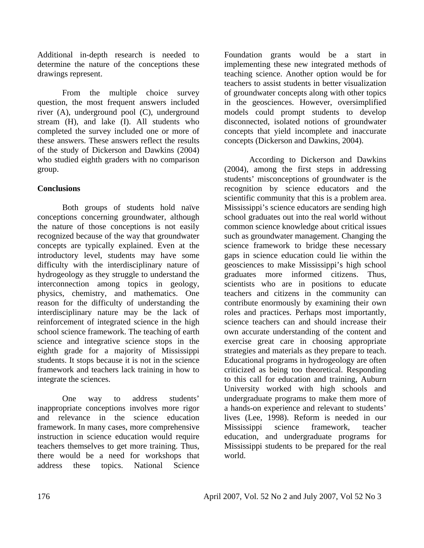Additional in-depth research is needed to determine the nature of the conceptions these drawings represent.

 From the multiple choice survey question, the most frequent answers included river (A), underground pool (C), underground stream (H), and lake (I). All students who completed the survey included one or more of these answers. These answers reflect the results of the study of Dickerson and Dawkins (2004) who studied eighth graders with no comparison group.

#### **Conclusions**

 Both groups of students hold naïve conceptions concerning groundwater, although the nature of those conceptions is not easily recognized because of the way that groundwater concepts are typically explained. Even at the introductory level, students may have some difficulty with the interdisciplinary nature of hydrogeology as they struggle to understand the interconnection among topics in geology, physics, chemistry, and mathematics. One reason for the difficulty of understanding the interdisciplinary nature may be the lack of reinforcement of integrated science in the high school science framework. The teaching of earth science and integrative science stops in the eighth grade for a majority of Mississippi students. It stops because it is not in the science framework and teachers lack training in how to integrate the sciences.

 One way to address students' inappropriate conceptions involves more rigor and relevance in the science education framework. In many cases, more comprehensive instruction in science education would require teachers themselves to get more training. Thus, there would be a need for workshops that address these topics. National Science

Foundation grants would be a start in implementing these new integrated methods of teaching science. Another option would be for teachers to assist students in better visualization of groundwater concepts along with other topics in the geosciences. However, oversimplified models could prompt students to develop disconnected, isolated notions of groundwater concepts that yield incomplete and inaccurate concepts (Dickerson and Dawkins, 2004).

 According to Dickerson and Dawkins (2004), among the first steps in addressing students' misconceptions of groundwater is the recognition by science educators and the scientific community that this is a problem area. Mississippi's science educators are sending high school graduates out into the real world without common science knowledge about critical issues such as groundwater management. Changing the science framework to bridge these necessary gaps in science education could lie within the geosciences to make Mississippi's high school graduates more informed citizens. Thus, scientists who are in positions to educate teachers and citizens in the community can contribute enormously by examining their own roles and practices. Perhaps most importantly, science teachers can and should increase their own accurate understanding of the content and exercise great care in choosing appropriate strategies and materials as they prepare to teach. Educational programs in hydrogeology are often criticized as being too theoretical. Responding to this call for education and training, Auburn University worked with high schools and undergraduate programs to make them more of a hands-on experience and relevant to students' lives (Lee, 1998). Reform is needed in our Mississippi science framework, teacher education, and undergraduate programs for Mississippi students to be prepared for the real world.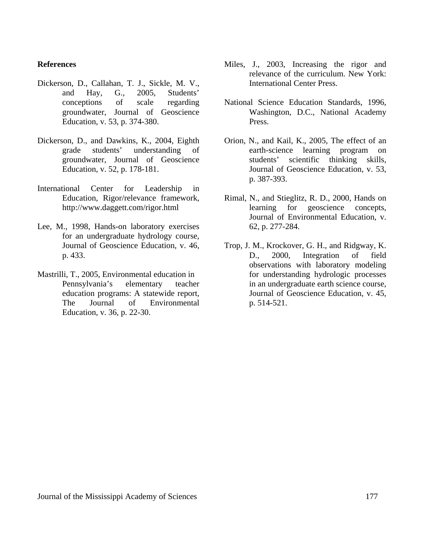#### **References**

- Dickerson, D., Callahan, T. J., Sickle, M. V., and Hay, G., 2005, Students' conceptions of scale regarding groundwater, Journal of Geoscience Education, v. 53, p. 374-380.
- Dickerson, D., and Dawkins, K., 2004, Eighth grade students' understanding of groundwater, Journal of Geoscience Education, v. 52, p. 178-181.
- International Center for Leadership in Education, Rigor/relevance framework, http://www.daggett.com/rigor.html
- Lee, M., 1998, Hands-on laboratory exercises for an undergraduate hydrology course, Journal of Geoscience Education, v. 46, p. 433.
- Mastrilli, T., 2005, Environmental education in Pennsylvania's elementary teacher education programs: A statewide report, The Journal of Environmental Education, v. 36, p. 22-30.
- Miles, J., 2003, Increasing the rigor and relevance of the curriculum. New York: International Center Press.
- National Science Education Standards, 1996, Washington, D.C., National Academy Press.
- Orion, N., and Kail, K., 2005, The effect of an earth-science learning program on students' scientific thinking skills, Journal of Geoscience Education, v. 53, p. 387-393.
- Rimal, N., and Stieglitz, R. D., 2000, Hands on learning for geoscience concepts, Journal of Environmental Education, v. 62, p. 277-284.
- Trop, J. M., Krockover, G. H., and Ridgway, K. D., 2000, Integration of field observations with laboratory modeling for understanding hydrologic processes in an undergraduate earth science course, Journal of Geoscience Education, v. 45, p. 514-521.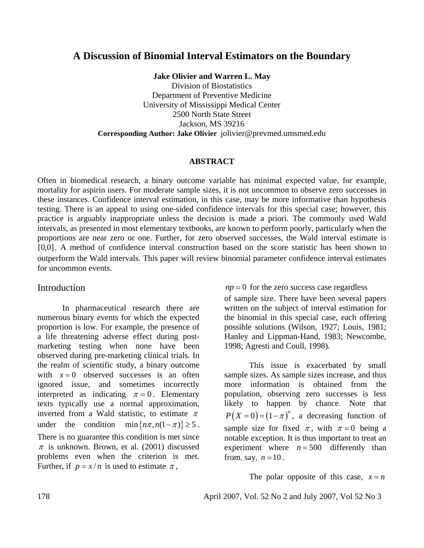#### **A Discussion of Binomial Interval Estimators on the Boundary**

**Jake Olivier and Warren L. May** 

Division of Biostatistics Department of Preventive Medicine University of Mississippi Medical Center 2500 North State Street Jackson, MS 39216 **Corresponding Author: Jake Olivier** jolivier@prevmed.umsmed.edu

#### **ABSTRACT**

Often in biomedical research, a binary outcome variable has minimal expected value, for example, mortality for aspirin users. For moderate sample sizes, it is not uncommon to observe zero successes in these instances. Confidence interval estimation, in this case, may be more informative than hypothesis testing. There is an appeal to using one-sided confidence intervals for this special case; however, this practice is arguably inappropriate unless the decision is made a priori. The commonly used Wald intervals, as presented in most elementary textbooks, are known to perform poorly, particularly when the proportions are near zero or one. Further, for zero observed successes, the Wald interval estimate is [0,0]. A method of confidence interval construction based on the score statistic has been shown to outperform the Wald intervals. This paper will review binomial parameter confidence interval estimates for uncommon events.

#### Introduction

In pharmaceutical research there are numerous binary events for which the expected proportion is low. For example, the presence of a life threatening adverse effect during postmarketing testing when none have been observed during pre-marketing clinical trials. In the realm of scientific study, a binary outcome with  $x = 0$  observed successes is an often ignored issue, and sometimes incorrectly interpreted as indicating  $\pi = 0$ . Elementary texts typically use a normal approximation, inverted from a Wald statistic, to estimate  $\pi$ under the condition min $\{ n\pi, n(1-\pi) \} \ge 5$ . There is no guarantee this condition is met since  $\pi$  is unknown. Brown, et al. (2001) discussed problems even when the criterion is met. Further, if  $p = x/n$  is used to estimate  $\pi$ ,

 $np = 0$  for the zero success case regardless

of sample size. There have been several papers written on the subject of interval estimation for the binomial in this special case, each offering possible solutions (Wilson, 1927; Louis, 1981; Hanley and Lippman-Hand, 1983; Newcombe, 1998; Agresti and Coull, 1998).

This issue is exacerbated by small sample sizes. As sample sizes increase, and thus more information is obtained from the population, observing zero successes is less likely to happen by chance. Note that  $P(X=0) = (1 - \pi)^n$ , a decreasing function of sample size for fixed  $\pi$ , with  $\pi = 0$  being a notable exception. It is thus important to treat an experiment where  $n = 500$  differently than from, say,  $n = 10$ .

The polar opposite of this case,  $x = n$ 

178 April 2007, Vol. 52 No 2 and July 2007, Vol 52 No 3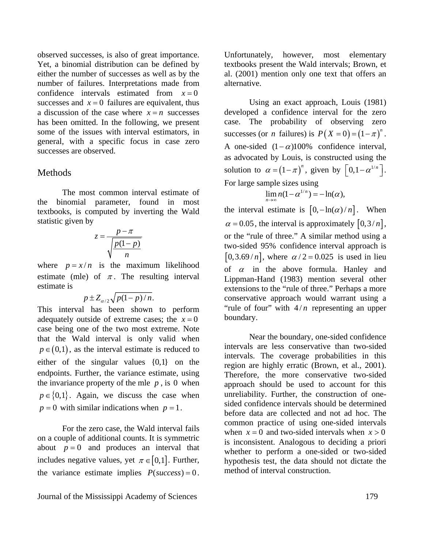observed successes, is also of great importance. Yet, a binomial distribution can be defined by either the number of successes as well as by the number of failures. Interpretations made from confidence intervals estimated from  $x=0$ successes and  $x = 0$  failures are equivalent, thus a discussion of the case where  $x = n$  successes has been omitted. In the following, we present some of the issues with interval estimators, in general, with a specific focus in case zero successes are observed.

#### Methods

The most common interval estimate of the binomial parameter, found in most textbooks, is computed by inverting the Wald statistic given by

$$
z = \frac{p - \pi}{\sqrt{\frac{p(1-p)}{n}}}
$$

where  $p = x/n$  is the maximum likelihood estimate (mle) of  $\pi$ . The resulting interval estimate is

$$
p \pm Z_{\alpha/2} \sqrt{p(1-p)/n}.
$$

This interval has been shown to perform adequately outside of extreme cases; the  $x = 0$ case being one of the two most extreme. Note that the Wald interval is only valid when  $p \in (0,1)$ , as the interval estimate is reduced to either of the singular values {0,1} on the endpoints. Further, the variance estimate, using the invariance property of the mle  $p$ , is 0 when  $p \in \{0,1\}$ . Again, we discuss the case when  $p = 0$  with similar indications when  $p = 1$ .

For the zero case, the Wald interval fails on a couple of additional counts. It is symmetric about  $p = 0$  and produces an interval that includes negative values, yet  $\pi \in [0,1]$ . Further, the variance estimate implies  $P(success) = 0$ . Unfortunately, however, most elementary textbooks present the Wald intervals; Brown, et al. (2001) mention only one text that offers an alternative.

Using an exact approach, Louis (1981) developed a confidence interval for the zero case. The probability of observing zero successes (or *n* failures) is  $P(X = 0) = (1 - \pi)^n$ . A one-sided  $(1 - \alpha)100\%$  confidence interval, as advocated by Louis, is constructed using the solution to  $\alpha = (1 - \pi)^n$ , given by  $\left[ 0, 1 - \alpha^{1/n} \right]$ . For large sample sizes using

$$
\lim_{n\to\infty} n(1-\alpha^{1/n})=-\ln(\alpha),
$$

the interval estimate is  $[0, -\ln(\alpha) / n]$ . When  $\alpha = 0.05$ , the interval is approximately  $\left[0,3/n\right]$ , or the "rule of three." A similar method using a two-sided 95% confidence interval approach is  $[0,3.69/n]$ , where  $\alpha/2 = 0.025$  is used in lieu of  $\alpha$  in the above formula. Hanley and Lippman-Hand (1983) mention several other extensions to the "rule of three." Perhaps a more conservative approach would warrant using a "rule of four" with  $4/n$  representing an upper boundary.

Near the boundary, one-sided confidence intervals are less conservative than two-sided intervals. The coverage probabilities in this region are highly erratic (Brown, et al., 2001). Therefore, the more conservative two-sided approach should be used to account for this unreliability. Further, the construction of onesided confidence intervals should be determined before data are collected and not ad hoc. The common practice of using one-sided intervals when  $x = 0$  and two-sided intervals when  $x > 0$ is inconsistent. Analogous to deciding a priori whether to perform a one-sided or two-sided hypothesis test, the data should not dictate the method of interval construction.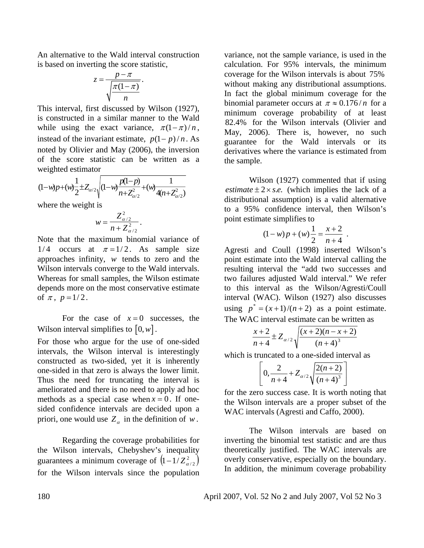An alternative to the Wald interval construction is based on inverting the score statistic,

$$
z = \frac{p - \pi}{\sqrt{\frac{\pi(1 - \pi)}{n}}}.
$$

This interval, first discussed by Wilson (1927), is constructed in a similar manner to the Wald while using the exact variance,  $\pi(1 - \pi) / n$ , instead of the invariant estimate,  $p(1 - p) / n$ . As noted by Olivier and May (2006), the inversion of the score statistic can be written as a weighted estimator

$$
(1-w)p+(w)\frac{1}{2}\pm Z_{\alpha/2}\sqrt{(1-w)\frac{p(1-p)}{n+Z_{\alpha/2}^2}+(w)\frac{1}{4(n+Z_{\alpha/2}^2)}}
$$

where the weight is

$$
w = \frac{Z_{\alpha/2}^2}{n + Z_{\alpha/2}^2}.
$$

Note that the maximum binomial variance of 1/4 occurs at  $\pi = 1/2$ . As sample size approaches infinity, *w* tends to zero and the Wilson intervals converge to the Wald intervals. Whereas for small samples, the Wilson estimate depends more on the most conservative estimate of  $\pi$ ,  $p=1/2$ .

For the case of  $x=0$  successes, the Wilson interval simplifies to  $[0, w]$ .

For those who argue for the use of one-sided intervals, the Wilson interval is interestingly constructed as two-sided, yet it is inherently one-sided in that zero is always the lower limit. Thus the need for truncating the interval is ameliorated and there is no need to apply ad hoc methods as a special case when  $x = 0$ . If onesided confidence intervals are decided upon a priori, one would use  $Z_{\alpha}$  in the definition of *w*.

Regarding the coverage probabilities for the Wilson intervals, Chebyshev's inequality guarantees a minimum coverage of  $(1 - 1/Z_{\alpha/2}^2)$ for the Wilson intervals since the population variance, not the sample variance, is used in the calculation. For 95% intervals, the minimum coverage for the Wilson intervals is about 75% without making any distributional assumptions. In fact the global minimum coverage for the binomial parameter occurs at  $\pi \approx 0.176/n$  for a minimum coverage probability of at least 82.4% for the Wilson intervals (Olivier and May, 2006). There is, however, no such guarantee for the Wald intervals or its derivatives where the variance is estimated from the sample.

Wilson (1927) commented that if using *estimate*  $\pm 2 \times s.e.$  (which implies the lack of a distributional assumption) is a valid alternative to a 95% confidence interval, then Wilson's point estimate simplifies to

$$
(1-w)p + (w)\frac{1}{2} = \frac{x+2}{n+4} .
$$

Agresti and Coull (1998) inserted Wilson's point estimate into the Wald interval calling the resulting interval the "add two successes and two failures adjusted Wald interval." We refer to this interval as the Wilson/Agresti/Coull interval (WAC). Wilson (1927) also discusses using  $p^* = (x+1)/(n+2)$  as a point estimate. The WAC interval estimate can be written as

$$
\frac{x+2}{n+4} \pm Z_{\alpha/2} \sqrt{\frac{(x+2)(n-x+2)}{(n+4)^3}}
$$

which is truncated to a one-sided interval as

$$
\left[0,\frac{2}{n+4}+Z_{\alpha/2}\sqrt{\frac{2(n+2)}{(n+4)^3}}\right]
$$

for the zero success case. It is worth noting that the Wilson intervals are a proper subset of the WAC intervals (Agresti and Caffo, 2000).

The Wilson intervals are based on inverting the binomial test statistic and are thus theoretically justified. The WAC intervals are overly conservative, especially on the boundary. In addition, the minimum coverage probability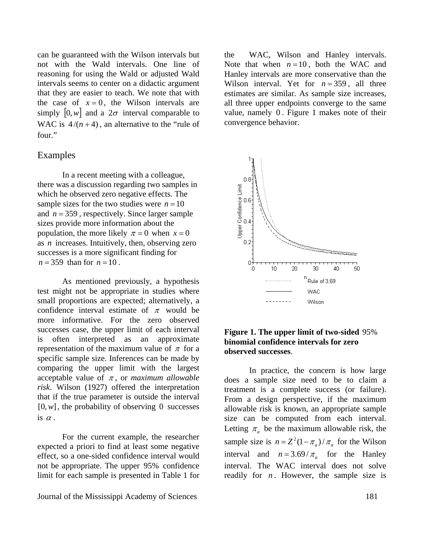can be guaranteed with the Wilson intervals but not with the Wald intervals. One line of reasoning for using the Wald or adjusted Wald intervals seems to center on a didactic argument that they are easier to teach. We note that with the case of  $x = 0$ , the Wilson intervals are simply  $[0, w]$  and a  $2\sigma$  interval comparable to WAC is  $4/(n+4)$ , an alternative to the "rule of four."

#### Examples

In a recent meeting with a colleague, there was a discussion regarding two samples in which he observed zero negative effects. The sample sizes for the two studies were  $n = 10$ and  $n = 359$ , respectively. Since larger sample sizes provide more information about the population, the more likely  $\pi = 0$  when  $x = 0$ as *n* increases. Intuitively, then, observing zero successes is a more significant finding for  $n = 359$  than for  $n = 10$ .

As mentioned previously, a hypothesis test might not be appropriate in studies where small proportions are expected; alternatively, a confidence interval estimate of  $\pi$  would be more informative. For the zero observed successes case, the upper limit of each interval is often interpreted as an approximate representation of the maximum value of  $\pi$  for a specific sample size. Inferences can be made by comparing the upper limit with the largest acceptable value of  $\pi$ , or *maximum allowable risk*. Wilson (1927) offered the interpretation that if the true parameter is outside the interval  $[0, w]$ , the probability of observing 0 successes is  $\alpha$ .

For the current example, the researcher expected a priori to find at least some negative effect, so a one-sided confidence interval would not be appropriate. The upper 95% confidence limit for each sample is presented in Table 1 for

Journal of the Mississippi Academy of Sciences 181

the WAC, Wilson and Hanley intervals. Note that when  $n = 10$ , both the WAC and Hanley intervals are more conservative than the Wilson interval. Yet for  $n = 359$ , all three estimates are similar. As sample size increases, all three upper endpoints converge to the same value, namely 0 . Figure 1 makes note of their convergence behavior.



#### **Figure 1. The upper limit of two-sided** 95% **binomial confidence intervals for zero observed successes**.

In practice, the concern is how large does a sample size need to be to claim a treatment is a complete success (or failure). From a design perspective, if the maximum allowable risk is known, an appropriate sample size can be computed from each interval. Letting  $\pi_a$  be the maximum allowable risk, the sample size is  $n = Z^2(1 - \pi_a) / \pi_a$  for the Wilson interval and  $n = 3.69 / \pi_a$  for the Hanley interval. The WAC interval does not solve readily for  $n$ . However, the sample size is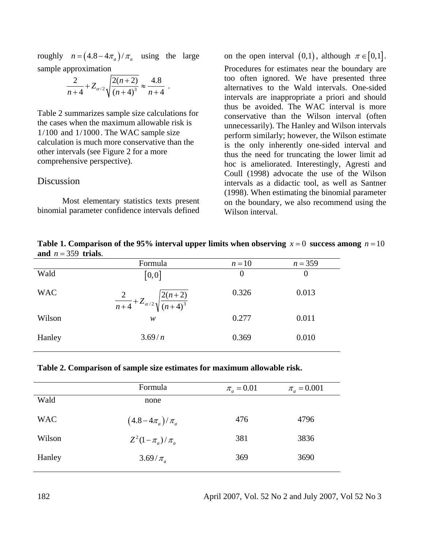roughly  $n = (4.8 - 4\pi_a) / \pi_a$  using the large sample approximation

$$
\frac{2}{n+4} + Z_{\alpha/2} \sqrt{\frac{2(n+2)}{(n+4)^3}} \approx \frac{4.8}{n+4} .
$$

Table 2 summarizes sample size calculations for the cases when the maximum allowable risk is  $1/100$  and  $1/1000$ . The WAC sample size calculation is much more conservative than the other intervals (see Figure 2 for a more comprehensive perspective).

#### **Discussion**

Most elementary statistics texts present binomial parameter confidence intervals defined on the open interval  $(0,1)$ , although  $\pi \in [0,1]$ . Procedures for estimates near the boundary are too often ignored. We have presented three alternatives to the Wald intervals. One-sided intervals are inappropriate a priori and should thus be avoided. The WAC interval is more conservative than the Wilson interval (often unnecessarily). The Hanley and Wilson intervals perform similarly; however, the Wilson estimate is the only inherently one-sided interval and thus the need for truncating the lower limit ad hoc is ameliorated. Interestingly, Agresti and Coull (1998) advocate the use of the Wilson intervals as a didactic tool, as well as Santner (1998). When estimating the binomial parameter on the boundary, we also recommend using the Wilson interval.

**Table 1. Comparison of the 95% interval upper limits when observing**  $x = 0$  **success among**  $n = 10$ and  $n = 359$  trials.

|            | Formula                                                   | $n=10$   | $n = 359$ |
|------------|-----------------------------------------------------------|----------|-----------|
| Wald       | [0,0]                                                     | $\Omega$ | 0         |
| <b>WAC</b> | $\frac{2}{n+4}+Z_{\alpha/2}\sqrt{\frac{2(n+2)}{(n+4)^3}}$ | 0.326    | 0.013     |
| Wilson     | w                                                         | 0.277    | 0.011     |
| Hanley     | 3.69/n                                                    | 0.369    | 0.010     |

| Table 2. Comparison of sample size estimates for maximum allowable risk. |  |  |
|--------------------------------------------------------------------------|--|--|

|            | Formula                 | $\pi_{a} = 0.01$ | $\pi_{a} = 0.001$ |
|------------|-------------------------|------------------|-------------------|
| Wald       | none                    |                  |                   |
| <b>WAC</b> | $(4.8-4\pi_a)/\pi_a$    | 476              | 4796              |
| Wilson     | $Z^2(1-\pi_a)/\pi_a$    | 381              | 3836              |
| Hanley     | $3.69/\pi$ <sub>a</sub> | 369              | 3690              |

182 April 2007, Vol. 52 No 2 and July 2007, Vol 52 No 3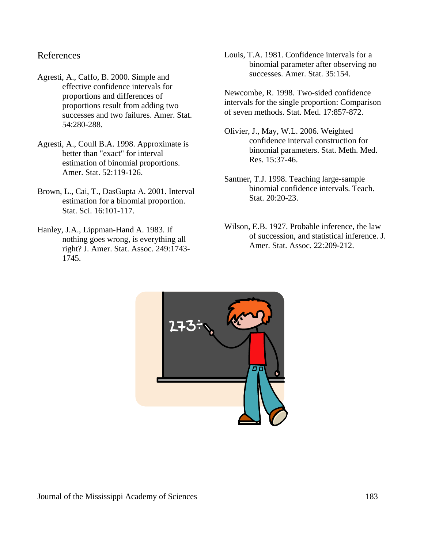#### References

- Agresti, A., Caffo, B. 2000. Simple and effective confidence intervals for proportions and differences of proportions result from adding two successes and two failures. Amer. Stat. 54:280-288.
- Agresti, A., Coull B.A. 1998. Approximate is better than "exact" for interval estimation of binomial proportions. Amer. Stat. 52:119-126.
- Brown, L., Cai, T., DasGupta A. 2001. Interval estimation for a binomial proportion. Stat. Sci. 16:101-117.
- Hanley, J.A., Lippman-Hand A. 1983. If nothing goes wrong, is everything all right? J. Amer. Stat. Assoc. 249:1743- 1745.
- Louis, T.A. 1981. Confidence intervals for a binomial parameter after observing no successes. Amer. Stat. 35:154.
- Newcombe, R. 1998. Two-sided confidence intervals for the single proportion: Comparison of seven methods. Stat. Med. 17:857-872.
- Olivier, J., May, W.L. 2006. Weighted confidence interval construction for binomial parameters. Stat. Meth. Med. Res. 15:37-46.
- Santner, T.J. 1998. Teaching large-sample binomial confidence intervals. Teach. Stat. 20:20-23.
- Wilson, E.B. 1927. Probable inference, the law of succession, and statistical inference. J. Amer. Stat. Assoc. 22:209-212.

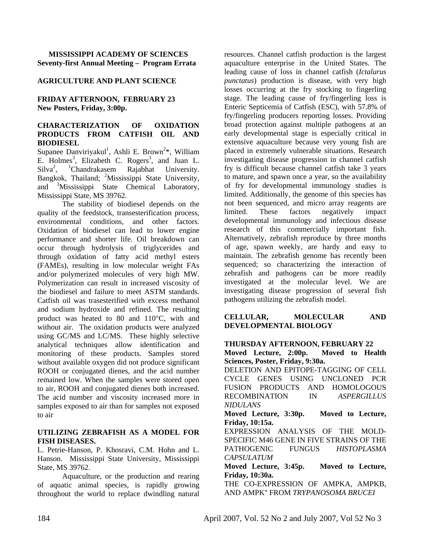#### **MISSISSIPPI ACADEMY OF SCIENCES Seventy-first Annual Meeting – Program Errata**

#### **AGRICULTURE AND PLANT SCIENCE**

#### **FRIDAY AFTERNOON, FEBRUARY 23 New Posters, Friday, 3:00p.**

#### **CHARACTERIZATION OF OXIDATION PRODUCTS FROM CATFISH OIL AND BIODIESEL**

Supanee Danviriyakul<sup>1</sup>, Ashli E. Brown<sup>2\*</sup>, William E. Holmes<sup>3</sup>, Elizabeth C. Rogers<sup>3</sup>, and Juan L. Silva<sup>2</sup>, <sup>1</sup>Chandrakasem Rajabhat University. Bangkok, Thailand; <sup>2</sup>Mississippi State University, and <sup>3</sup> Mississippi State Chemical Laboratory, Mississippi State, MS 39762.

 The stability of biodiesel depends on the quality of the feedstock, transesterification process, environmental conditions, and other factors. Oxidation of biodiesel can lead to lower engine performance and shorter life. Oil breakdown can occur through hydrolysis of triglycerides and through oxidation of fatty acid methyl esters (FAMEs), resulting in low molecular weight FAs and/or polymerized molecules of very high MW. Polymerization can result in increased viscosity of the biodiesel and failure to meet ASTM standards. Catfish oil was trasesterified with excess methanol and sodium hydroxide and refined. The resulting product was heated to 80 and 110°C, with and without air. The oxidation products were analyzed using GC/MS and LC/MS. These highly selective analytical techniques allow identification and monitoring of these products. Samples stored without available oxygen did not produce significant ROOH or conjugated dienes, and the acid number remained low. When the samples were stored open to air, ROOH and conjugated dienes both increased. The acid number and viscosity increased more in samples exposed to air than for samples not exposed to air

#### **UTILIZING ZEBRAFISH AS A MODEL FOR FISH DISEASES.**

L. Petrie-Hanson, P. Khosravi, C.M. Hohn and L. Hanson. Mississippi State University, Mississippi State, MS 39762.

 Aquaculture, or the production and rearing of aquatic animal species, is rapidly growing throughout the world to replace dwindling natural resources. Channel catfish production is the largest aquaculture enterprise in the United States. The leading cause of loss in channel catfish (*Ictalurus punctatus*) production is disease, with very high losses occurring at the fry stocking to fingerling stage. The leading cause of fry/fingerling loss is Enteric Septicemia of Catfish (ESC), with 57.8% of fry/fingerling producers reporting losses. Providing broad protection against multiple pathogens at an early developmental stage is especially critical in extensive aquaculture because very young fish are placed in extremely vulnerable situations. Research investigating disease progression in channel catfish fry is difficult because channel catfish take 3 years to mature, and spawn once a year, so the availability of fry for developmental immunology studies is limited. Additionally, the genome of this species has not been sequenced, and micro array reagents are limited. These factors negatively impact developmental immunology and infectious disease research of this commercially important fish. Alternatively, zebrafish reproduce by three months of age, spawn weekly, are hardy and easy to maintain. The zebrafish genome has recently been sequenced; so characterizing the interaction of zebrafish and pathogens can be more readily investigated at the molecular level. We are investigating disease progression of several fish pathogens utilizing the zebrafish model.

#### **CELLULAR, MOLECULAR AND DEVELOPMENTAL BIOLOGY**

#### **THURSDAY AFTERNOON, FEBRUARY 22**

**Moved Lecture, 2:00p. Moved to Health Sciences, Poster, Friday, 9:30a.** 

DELETION AND EPITOPE-TAGGING OF CELL CYCLE GENES USING UNCLONED PCR FUSION PRODUCTS AND HOMOLOGOUS RECOMBINATION IN *ASPERGILLUS NIDULANS*

**Moved Lecture, 3:30p. Moved to Lecture, Friday, 10:15a.**

EXPRESSION ANALYSIS OF THE MOLD-SPECIFIC M46 GENE IN FIVE STRAINS OF THE PATHOGENIC FUNGUS *HISTOPLASMA CAPSULATUM*

**Moved Lecture, 3:45p. Moved to Lecture, Friday, 10:30a.**

THE CO-EXPRESSION OF AMPKA, AMPKB, AND AMPK'' FROM *TRYPANOSOMA BRUCEI*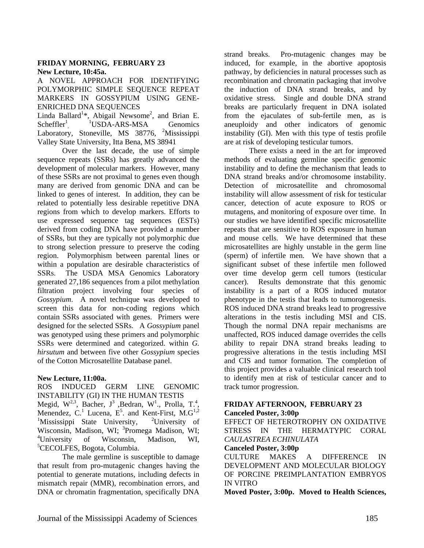#### **FRIDAY MORNING, FEBRUARY 23 New Lecture, 10:45a.**

A NOVEL APPROACH FOR IDENTIFYING POLYMORPHIC SIMPLE SEOUENCE REPEAT MARKERS IN GOSSYPIUM USING GENE-ENRICHED DNA SEQUENCES

Linda Ballard<sup>1\*</sup>, Abigail Newsome<sup>2</sup>, and Brian E. Scheffler<sup>1</sup>,  $1$ <sup>1</sup>USDA-ARS-MSA Genomics Laboratory, Stoneville, MS 38776, <sup>2</sup>Mississippi Valley State University, Itta Bena, MS 38941

 Over the last decade, the use of simple sequence repeats (SSRs) has greatly advanced the development of molecular markers. However, many of these SSRs are not proximal to genes even though many are derived from genomic DNA and can be linked to genes of interest. In addition, they can be related to potentially less desirable repetitive DNA regions from which to develop markers. Efforts to use expressed sequence tag sequences (ESTs) derived from coding DNA have provided a number of SSRs, but they are typically not polymorphic due to strong selection pressure to preserve the coding region. Polymorphism between parental lines or within a population are desirable characteristics of SSRs. The USDA MSA Genomics Laboratory generated 27,186 sequences from a pilot methylation filtration project involving four species of *Gossypium*. A novel technique was developed to screen this data for non-coding regions which contain SSRs associated with genes. Primers were designed for the selected SSRs. A *Gossypium* panel was genotyped using these primers and polymorphic SSRs were determined and categorized. within *G. hirsutum* and between five other *Gossypium* species of the Cotton Microsatellite Database panel.

#### **New Lecture, 11:00a.**

ROS INDUCED GERM LINE GENOMIC INSTABILITY (GI) IN THE HUMAN TESTIS Megid,  $W^{2,3}$ , Bacher,  $J^3$ , Bedran,  $W^1$ ., Prolla, T.<sup>4</sup>, Menendez, C.<sup>1</sup> Lucena, E<sup>5</sup>. and Kent-First, M.G<sup>1,2</sup>  $1$ Mississippi State University,  $2$ <sup>2</sup>University of Wisconsin, Madison, WI; <sup>3</sup>Promega Madison, WI; <sup>4</sup>University of Wisconsin, Madison, WI, 5 CECOLFES, Bogota, Columbia.

The male germline is susceptible to damage that result from pro-mutagenic changes having the potential to generate mutations, including defects in mismatch repair (MMR), recombination errors, and DNA or chromatin fragmentation, specifically DNA

strand breaks. Pro-mutagenic changes may be induced, for example, in the abortive apoptosis pathway, by deficiencies in natural processes such as recombination and chromatin packaging that involve the induction of DNA strand breaks, and by oxidative stress. Single and double DNA strand breaks are particularly frequent in DNA isolated from the ejaculates of sub-fertile men, as is aneuploidy and other indicators of genomic instability (GI). Men with this type of testis profile are at risk of developing testicular tumors.

There exists a need in the art for improved methods of evaluating germline specific genomic instability and to define the mechanism that leads to DNA strand breaks and/or chromosome instability. Detection of microsatellite and chromosomal instability will allow assessment of risk for testicular cancer, detection of acute exposure to ROS or mutagens, and monitoring of exposure over time. In our studies we have identified specific microsatellite repeats that are sensitive to ROS exposure in human and mouse cells. We have determined that these microsatellites are highly unstable in the germ line (sperm) of infertile men. We have shown that a significant subset of these infertile men followed over time develop germ cell tumors (testicular cancer). Results demonstrate that this genomic instability is a part of a ROS induced mutator phenotype in the testis that leads to tumorogenesis. ROS induced DNA strand breaks lead to progressive alterations in the testis including MSI and CIS. Though the normal DNA repair mechanisms are unaffected, ROS induced damage overrides the cells ability to repair DNA strand breaks leading to progressive alterations in the testis including MSI and CIS and tumor formation. The completion of this project provides a valuable clinical research tool to identify men at risk of testicular cancer and to track tumor progression.

#### **FRIDAY AFTERNOON, FEBRUARY 23**

#### **Canceled Poster, 3:00p**

EFFECT OF HETEROTROPHY ON OXIDATIVE STRESS IN THE HERMATYPIC CORAL *CAULASTREA ECHINULATA* 

#### **Canceled Poster, 3:00p**

CULTURE MAKES A DIFFERENCE IN DEVELOPMENT AND MOLECULAR BIOLOGY OF PORCINE PREIMPLANTATION EMBRYOS IN VITRO

**Moved Poster, 3:00p. Moved to Health Sciences,**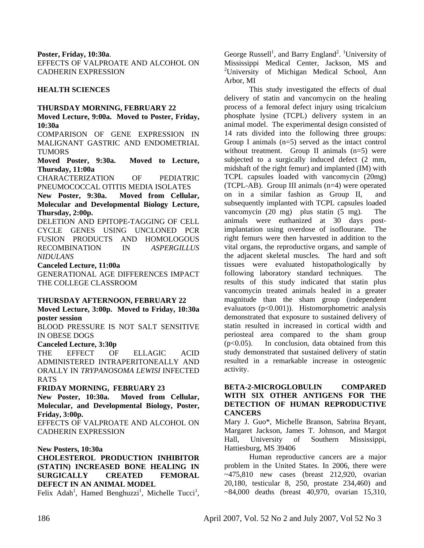**Poster, Friday, 10:30a**.

EFFECTS OF VALPROATE AND ALCOHOL ON CADHERIN EXPRESSION

#### **HEALTH SCIENCES**

#### **THURSDAY MORNING, FEBRUARY 22**

**Moved Lecture, 9:00a. Moved to Poster, Friday, 10:30a**

COMPARISON OF GENE EXPRESSION IN MALIGNANT GASTRIC AND ENDOMETRIAL TUMORS

**Moved Poster, 9:30a. Moved to Lecture, Thursday, 11:00a**

CHARACTERIZATION OF PEDIATRIC PNEUMOCOCCAL OTITIS MEDIA ISOLATES

**New Poster, 9:30a. Moved from Cellular, Molecular and Developmental Biology Lecture, Thursday, 2:00p.**

DELETION AND EPITOPE-TAGGING OF CELL CYCLE GENES USING UNCLONED PCR FUSION PRODUCTS AND HOMOLOGOUS RECOMBINATION IN *ASPERGILLUS NIDULANS*

**Canceled Lecture, 11:00a**

GENERATIONAL AGE DIFFERENCES IMPACT THE COLLEGE CLASSROOM

#### **THURSDAY AFTERNOON, FEBRUARY 22**

**Moved Lecture, 3:00p. Moved to Friday, 10:30a poster session** 

BLOOD PRESSURE IS NOT SALT SENSITIVE IN OBESE DOGS

**Canceled Lecture, 3:30p**

THE EFFECT OF ELLAGIC ACID ADMINISTERED INTRAPERITONEALLY AND ORALLY IN *TRYPANOSOMA LEWISI* INFECTED RATS

#### **FRIDAY MORNING, FEBRUARY 23**

**New Poster, 10:30a. Moved from Cellular, Molecular, and Developmental Biology, Poster, Friday, 3:00p.** 

EFFECTS OF VALPROATE AND ALCOHOL ON CADHERIN EXPRESSION

**New Posters, 10:30a** 

#### **CHOLESTEROL PRODUCTION INHIBITOR (STATIN) INCREASED BONE HEALING IN SURGICALLY CREATED FEMORAL DEFECT IN AN ANIMAL MODEL**

Felix Adah<sup>1</sup>, Hamed Benghuzzi<sup>1</sup>, Michelle Tucci<sup>1</sup>,

George Russell<sup>1</sup>, and Barry England<sup>2</sup>. <sup>1</sup>University of Mississippi Medical Center, Jackson, MS and <sup>2</sup>University of Michigan Medical School, Ann Arbor, MI

 This study investigated the effects of dual delivery of statin and vancomycin on the healing process of a femoral defect injury using tricalcium phosphate lysine (TCPL) delivery system in an animal model. The experimental design consisted of 14 rats divided into the following three groups: Group I animals  $(n=5)$  served as the intact control without treatment. Group II animals  $(n=5)$  were subjected to a surgically induced defect (2 mm, midshaft of the right femur) and implanted (IM) with TCPL capsules loaded with vancomycin (20mg) (TCPL-AB). Group III animals (n=4) were operated on in a similar fashion as Group II, and subsequently implanted with TCPL capsules loaded vancomycin (20 mg) plus statin (5 mg). The animals were euthanized at 30 days postimplantation using overdose of isoflourane. The right femurs were then harvested in addition to the vital organs, the reproductive organs, and sample of the adjacent skeletal muscles. The hard and soft tissues were evaluated histopathologically by following laboratory standard techniques. The results of this study indicated that statin plus vancomycin treated animals healed in a greater magnitude than the sham group (independent evaluators (p<0.001)). Histomorphometric analysis demonstrated that exposure to sustained delivery of statin resulted in increased in cortical width and periosteal area compared to the sham group  $(p<0.05)$ . In conclusion, data obtained from this study demonstrated that sustained delivery of statin resulted in a remarkable increase in osteogenic activity.

#### **BETA-2-MICROGLOBULIN COMPARED WITH SIX OTHER ANTIGENS FOR THE DETECTION OF HUMAN REPRODUCTIVE CANCERS**

Mary J. Guo\*, Michelle Branson, Sabrina Bryant, Margaret Jackson, James T. Johnson, and Margot Hall, University of Southern Mississippi, Hattiesburg, MS 39406

 Human reproductive cancers are a major problem in the United States. In 2006, there were  $\sim$ 475,810 new cases (breast 212,920, ovarian 20,180, testicular 8, 250, prostate 234,460) and  $\sim 84,000$  deaths (breast 40,970, ovarian 15,310,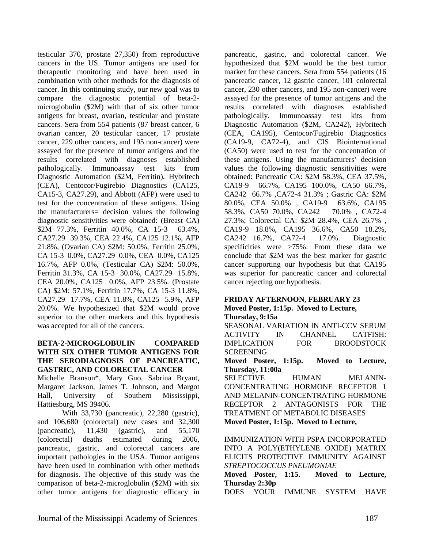testicular 370, prostate 27,350) from reproductive cancers in the US. Tumor antigens are used for therapeutic monitoring and have been used in combination with other methods for the diagnosis of cancer. In this continuing study, our new goal was to compare the diagnostic potential of beta-2 microglobulin (\$2M) with that of six other tumor antigens for breast, ovarian, testicular and prostate cancers. Sera from 554 patients (87 breast cancer, 6 ovarian cancer, 20 testicular cancer, 17 prostate cancer, 229 other cancers, and 195 non-cancer) were assayed for the presence of tumor antigens and the results correlated with diagnoses established pathologically. Immunoassay test kits from Diagnostic Automation (\$2M, Ferritin), Hybritech (CEA), Centocor/Fugirebio Diagnostics (CA125, CA15-3, CA27.29), and Abbott (AFP) were used to test for the concentration of these antigens. Using the manufacturers= decision values the following diagnostic sensitivities were obtained: (Breast CA) \$2M 77.3%, Ferritin 40.0%, CA 15-3 63.4%, CA27.29 39.3%, CEA 22.4%, CA125 12.1%, AFP 21.8%, (Ovarian CA) \$2M: 50.0%, Ferritin 25.0%, CA 15-3 0.0%, CA27.29 0.0%, CEA 0.0%, CA125 16.7%, AFP 0.0%, (Testicular CA) \$2M: 50.0%, Ferritin 31.3%, CA 15-3 30.0%, CA27.29 15.8%, CEA 20.0%, CA125 0.0%, AFP 23.5%. (Prostate CA) \$2M: 57.1%, Ferritin 17.7%, CA 15-3 11.8%, CA27.29 17.7%, CEA 11.8%, CA125 5.9%, AFP 20.0%. We hypothesized that \$2M would prove superior to the other markers and this hypothesis was accepted for all of the cancers.

#### **BETA-2-MICROGLOBULIN COMPARED WITH SIX OTHER TUMOR ANTIGENS FOR THE SERODIAGNOSIS OF PANCREATIC, GASTRIC, AND COLORECTAL CANCER**

Michelle Branson\*, Mary Guo, Sabrina Bryant, Margaret Jackson, James T. Johnson, and Margot Hall, University of Southern Mississippi, Hattiesburg, MS 39406.

 With 33,730 (pancreatic), 22,280 (gastric), and 106,680 (colorectal) new cases and 32,300 (pancreatic), 11,430 (gastric), and 55,170 (colorectal) deaths estimated during 2006, pancreatic, gastric, and colorectal cancers are important pathologies in the USA. Tumor antigens have been used in combination with other methods for diagnosis. The objective of this study was the comparison of beta-2-microglobulin (\$2M) with six other tumor antigens for diagnostic efficacy in

pancreatic, gastric, and colorectal cancer. We hypothesized that \$2M would be the best tumor marker for these cancers. Sera from 554 patients (16 pancreatic cancer, 12 gastric cancer, 101 colorectal cancer, 230 other cancers, and 195 non-cancer) were assayed for the presence of tumor antigens and the results correlated with diagnoses established pathologically. Immunoassay test kits from Diagnostic Automation (\$2M, CA242), Hybritech (CEA, CA195), Centocor/Fugirebio Diagnostics (CA19-9, CA72-4), and CIS Biointernational (CA50) were used to test for the concentration of these antigens. Using the manufacturers' decision values the following diagnostic sensitivities were obtained: Pancreatic CA: \$2M 58.3%, CEA 37.5%, CA19-9 66.7%, CA195 100.0%, CA50 66.7%, CA242 66.7% ,CA72-4 31.3% ; Gastric CA: \$2M 80.0%, CEA 50.0% , CA19-9 63.6%, CA195 58.3%, CA50 70.0%, CA242 70.0% , CA72-4 27.3%; Colorectal CA: \$2M 28.4%, CEA 26.7% , CA19-9 18.8%, CA195 36.6%, CA50 18.2%, CA242 16.7%, CA72-4 17.0%. Diagnostic specificities were >75%. From these data we conclude that \$2M was the best marker for gastric cancer supporting our hypothesis but that CA195 was superior for pancreatic cancer and colorectal cancer rejecting our hypothesis.

#### **FRIDAY AFTERNOON**, **FEBRUARY 23 Moved Poster, 1:15p. Moved to Lecture,**

**Thursday, 9:15a** 

SEASONAL VARIATION IN ANTI-CCV SERUM ACTIVITY IN CHANNEL CATFISH: IMPLICATION FOR BROODSTOCK SCREENING

**Moved Poster, 1:15p. Moved to Lecture, Thursday, 11:00a**

SELECTIVE HUMAN MELANIN-CONCENTRATING HORMONE RECEPTOR 1 AND MELANIN-CONCENTRATING HORMONE RECEPTOR 2 ANTAGONISTS FOR THE TREATMENT OF METABOLIC DISEASES **Moved Poster, 1:15p. Moved to Lecture,** 

IMMUNIZATION WITH PSPA INCORPORATED INTO A POLY(ETHYLENE OXIDE) MATRIX ELICITS PROTECTIVE IMMUNITY AGAINST *STREPTOCOCCUS PNEUMONIAE*

**Moved Poster, 1:15. Moved to Lecture, Thursday 2:30p**

DOES YOUR IMMUNE SYSTEM HAVE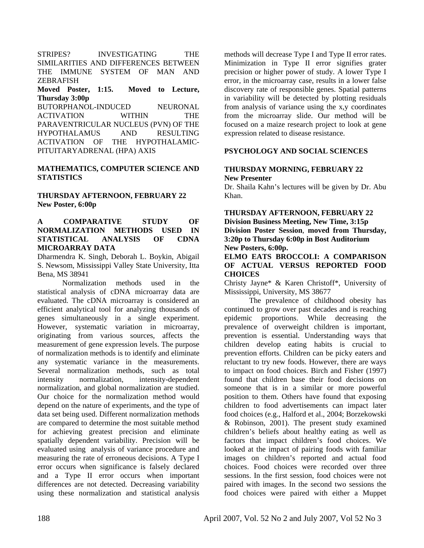STRIPES? INVESTIGATING THE SIMILARITIES AND DIFFERENCES BETWEEN THE IMMUNE SYSTEM OF MAN AND ZEBRAFISH

#### **Moved Poster, 1:15. Moved to Lecture, Thursday 3:00p**

BUTORPHANOL-INDUCED NEURONAL ACTIVATION WITHIN THE PARAVENTRICULAR NUCLEUS (PVN) OF THE HYPOTHALAMUS AND RESULTING ACTIVATION OF THE HYPOTHALAMIC-PITUITARYADRENAL (HPA) AXIS

#### **MATHEMATICS, COMPUTER SCIENCE AND STATISTICS**

#### **THURSDAY AFTERNOON, FEBRUARY 22 New Poster, 6:00p**

#### **A COMPARATIVE STUDY OF NORMALIZATION METHODS USED IN STATISTICAL ANALYSIS OF CDNA MICROARRAY DATA**

Dharmendra K. Singh, Deborah L. Boykin, Abigail S. Newsom, Mississippi Valley State University, Itta Bena, MS 38941

 Normalization methods used in the statistical analysis of cDNA microarray data are evaluated. The cDNA microarray is considered an efficient analytical tool for analyzing thousands of genes simultaneously in a single experiment. However, systematic variation in microarray, originating from various sources, affects the measurement of gene expression levels. The purpose of normalization methods is to identify and eliminate any systematic variance in the measurements. Several normalization methods, such as total intensity normalization, intensity-dependent normalization, and global normalization are studied. Our choice for the normalization method would depend on the nature of experiments, and the type of data set being used. Different normalization methods are compared to determine the most suitable method for achieving greatest precision and eliminate spatially dependent variability. Precision will be evaluated using analysis of variance procedure and measuring the rate of erroneous decisions. A Type I error occurs when significance is falsely declared and a Type II error occurs when important differences are not detected. Decreasing variability using these normalization and statistical analysis

methods will decrease Type I and Type II error rates. Minimization in Type II error signifies grater precision or higher power of study. A lower Type I error, in the microarray case, results in a lower false discovery rate of responsible genes. Spatial patterns in variability will be detected by plotting residuals from analysis of variance using the x,y coordinates from the microarray slide. Our method will be focused on a maize research project to look at gene expression related to disease resistance.

#### **PSYCHOLOGY AND SOCIAL SCIENCES**

#### **THURSDAY MORNING, FEBRUARY 22 New Presenter**

Dr. Shaila Kahn's lectures will be given by Dr. Abu Khan.

#### **THURSDAY AFTERNOON, FEBRUARY 22 Division Business Meeting, New Time, 3:15p Division Poster Session**, **moved from Thursday, 3:20p to Thursday 6:00p in Bost Auditorium New Posters, 6:00p.**

#### **ELMO EATS BROCCOLI: A COMPARISON OF ACTUAL VERSUS REPORTED FOOD CHOICES**

Christy Jayne\* & Karen Christoff\*, University of Mississippi, University, MS 38677

 The prevalence of childhood obesity has continued to grow over past decades and is reaching epidemic proportions. While decreasing the prevalence of overweight children is important, prevention is essential. Understanding ways that children develop eating habits is crucial to prevention efforts. Children can be picky eaters and reluctant to try new foods. However, there are ways to impact on food choices. Birch and Fisher (1997) found that children base their food decisions on someone that is in a similar or more powerful position to them. Others have found that exposing children to food advertisements can impact later food choices (e.g., Halford et al., 2004; Borzekowski & Robinson, 2001). The present study examined children's beliefs about healthy eating as well as factors that impact children's food choices. We looked at the impact of pairing foods with familiar images on children's reported and actual food choices. Food choices were recorded over three sessions. In the first session, food choices were not paired with images. In the second two sessions the food choices were paired with either a Muppet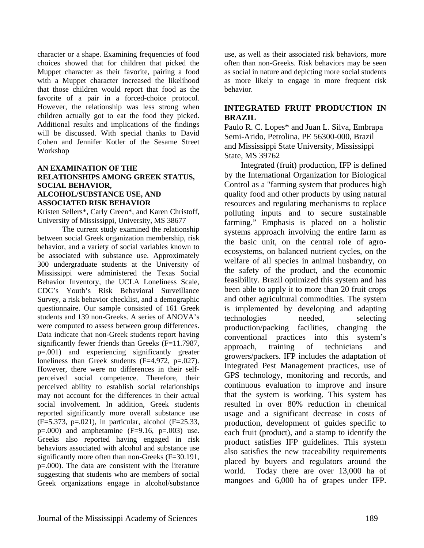character or a shape. Examining frequencies of food choices showed that for children that picked the Muppet character as their favorite, pairing a food with a Muppet character increased the likelihood that those children would report that food as the favorite of a pair in a forced-choice protocol. However, the relationship was less strong when children actually got to eat the food they picked. Additional results and implications of the findings will be discussed. With special thanks to David Cohen and Jennifer Kotler of the Sesame Street Workshop

#### **AN EXAMINATION OF THE RELATIONSHIPS AMONG GREEK STATUS, SOCIAL BEHAVIOR, ALCOHOL/SUBSTANCE USE, AND ASSOCIATED RISK BEHAVIOR**

Kristen Sellers\*, Carly Green\*, and Karen Christoff, University of Mississippi, University, MS 38677

 The current study examined the relationship between social Greek organization membership, risk behavior, and a variety of social variables known to be associated with substance use. Approximately 300 undergraduate students at the University of Mississippi were administered the Texas Social Behavior Inventory, the UCLA Loneliness Scale, CDC's Youth's Risk Behavioral Surveillance Survey, a risk behavior checklist, and a demographic questionnaire. Our sample consisted of 161 Greek students and 139 non-Greeks. A series of ANOVA's were computed to assess between group differences. Data indicate that non-Greek students report having significantly fewer friends than Greeks (F=11.7987, p=.001) and experiencing significantly greater loneliness than Greek students (F=4.972, p=.027). However, there were no differences in their selfperceived social competence. Therefore, their perceived ability to establish social relationships may not account for the differences in their actual social involvement. In addition, Greek students reported significantly more overall substance use (F=5.373, p=.021), in particular, alcohol (F=25.33,  $p=.000$  and amphetamine  $(F=9.16, p=.003)$  use. Greeks also reported having engaged in risk behaviors associated with alcohol and substance use significantly more often than non-Greeks (F=30.191, p=.000). The data are consistent with the literature suggesting that students who are members of social Greek organizations engage in alcohol/substance

use, as well as their associated risk behaviors, more often than non-Greeks. Risk behaviors may be seen as social in nature and depicting more social students as more likely to engage in more frequent risk behavior.

#### **INTEGRATED FRUIT PRODUCTION IN BRAZIL**

Paulo R. C. Lopes\* and Juan L. Silva, Embrapa Semi-Arido, Petrolina, PE 56300-000, Brazil and Mississippi State University, Mississippi State, MS 39762

 Integrated (fruit) production, IFP is defined by the International Organization for Biological Control as a "farming system that produces high quality food and other products by using natural resources and regulating mechanisms to replace polluting inputs and to secure sustainable farming." Emphasis is placed on a holistic systems approach involving the entire farm as the basic unit, on the central role of agroecosystems, on balanced nutrient cycles, on the welfare of all species in animal husbandry, on the safety of the product, and the economic feasibility. Brazil optimized this system and has been able to apply it to more than 20 fruit crops and other agricultural commodities. The system is implemented by developing and adapting technologies needed, selecting production/packing facilities, changing the conventional practices into this system's approach, training of technicians and growers/packers. IFP includes the adaptation of Integrated Pest Management practices, use of GPS technology, monitoring and records, and continuous evaluation to improve and insure that the system is working. This system has resulted in over 80% reduction in chemical usage and a significant decrease in costs of production, development of guides specific to each fruit (product), and a stamp to identify the product satisfies IFP guidelines. This system also satisfies the new traceability requirements placed by buyers and regulators around the world. Today there are over 13,000 ha of mangoes and 6,000 ha of grapes under IFP.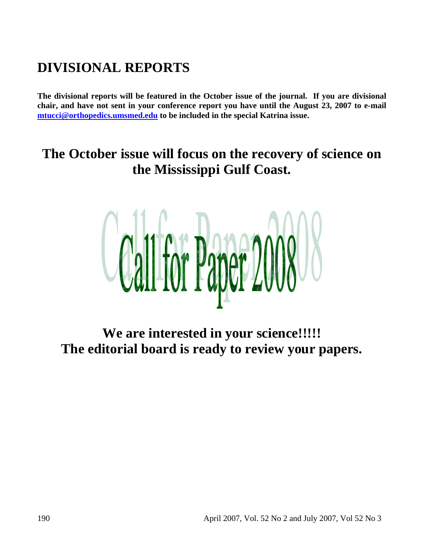# **DIVISIONAL REPORTS**

**The divisional reports will be featured in the October issue of the journal. If you are divisional chair, and have not sent in your conference report you have until the August 23, 2007 to e-mail mtucci@orthopedics.umsmed.edu to be included in the special Katrina issue.** 

# **The October issue will focus on the recovery of science on the Mississippi Gulf Coast.**



**We are interested in your science!!!!! The editorial board is ready to review your papers.**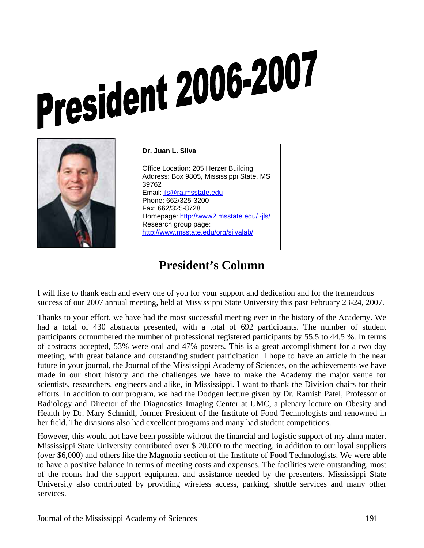# **President 2006-2007**



**Dr. Juan L. Silva**  Office Location: 205 Herzer Building Address: Box 9805, Mississippi State, MS 39762 Email: jls@ra.msstate.edu Phone: 662/325-3200 Fax: 662/325-8728 Homepage: http://www2.msstate.edu/~jls/ Research group page: http://www.msstate.edu/org/silvalab/

## **President's Column**

I will like to thank each and every one of you for your support and dedication and for the tremendous success of our 2007 annual meeting, held at Mississippi State University this past February 23-24, 2007.

Thanks to your effort, we have had the most successful meeting ever in the history of the Academy. We had a total of 430 abstracts presented, with a total of 692 participants. The number of student participants outnumbered the number of professional registered participants by 55.5 to 44.5 %. In terms of abstracts accepted, 53% were oral and 47% posters. This is a great accomplishment for a two day meeting, with great balance and outstanding student participation. I hope to have an article in the near future in your journal, the Journal of the Mississippi Academy of Sciences, on the achievements we have made in our short history and the challenges we have to make the Academy the major venue for scientists, researchers, engineers and alike, in Mississippi. I want to thank the Division chairs for their efforts. In addition to our program, we had the Dodgen lecture given by Dr. Ramish Patel, Professor of Radiology and Director of the Diagnostics Imaging Center at UMC, a plenary lecture on Obesity and Health by Dr. Mary Schmidl, former President of the Institute of Food Technologists and renowned in her field. The divisions also had excellent programs and many had student competitions.

However, this would not have been possible without the financial and logistic support of my alma mater. Mississippi State University contributed over \$ 20,000 to the meeting, in addition to our loyal suppliers (over \$6,000) and others like the Magnolia section of the Institute of Food Technologists. We were able to have a positive balance in terms of meeting costs and expenses. The facilities were outstanding, most of the rooms had the support equipment and assistance needed by the presenters. Mississippi State University also contributed by providing wireless access, parking, shuttle services and many other services.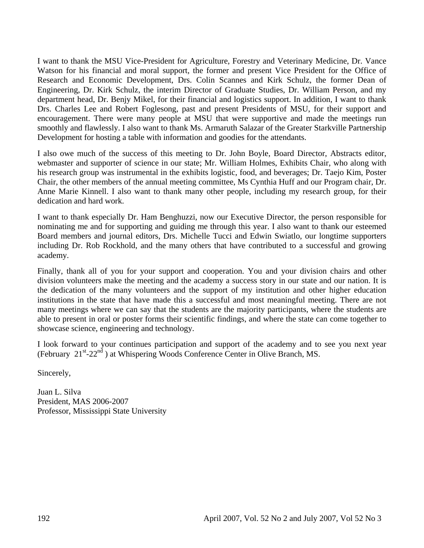I want to thank the MSU Vice-President for Agriculture, Forestry and Veterinary Medicine, Dr. Vance Watson for his financial and moral support, the former and present Vice President for the Office of Research and Economic Development, Drs. Colin Scannes and Kirk Schulz, the former Dean of Engineering, Dr. Kirk Schulz, the interim Director of Graduate Studies, Dr. William Person, and my department head, Dr. Benjy Mikel, for their financial and logistics support. In addition, I want to thank Drs. Charles Lee and Robert Foglesong, past and present Presidents of MSU, for their support and encouragement. There were many people at MSU that were supportive and made the meetings run smoothly and flawlessly. I also want to thank Ms. Armaruth Salazar of the Greater Starkville Partnership Development for hosting a table with information and goodies for the attendants.

I also owe much of the success of this meeting to Dr. John Boyle, Board Director, Abstracts editor, webmaster and supporter of science in our state; Mr. William Holmes, Exhibits Chair, who along with his research group was instrumental in the exhibits logistic, food, and beverages; Dr. Taejo Kim, Poster Chair, the other members of the annual meeting committee, Ms Cynthia Huff and our Program chair, Dr. Anne Marie Kinnell. I also want to thank many other people, including my research group, for their dedication and hard work.

I want to thank especially Dr. Ham Benghuzzi, now our Executive Director, the person responsible for nominating me and for supporting and guiding me through this year. I also want to thank our esteemed Board members and journal editors, Drs. Michelle Tucci and Edwin Swiatlo, our longtime supporters including Dr. Rob Rockhold, and the many others that have contributed to a successful and growing academy.

Finally, thank all of you for your support and cooperation. You and your division chairs and other division volunteers make the meeting and the academy a success story in our state and our nation. It is the dedication of the many volunteers and the support of my institution and other higher education institutions in the state that have made this a successful and most meaningful meeting. There are not many meetings where we can say that the students are the majority participants, where the students are able to present in oral or poster forms their scientific findings, and where the state can come together to showcase science, engineering and technology.

I look forward to your continues participation and support of the academy and to see you next year (February  $21^{st}$ -22<sup>nd</sup>) at Whispering Woods Conference Center in Olive Branch, MS.

Sincerely,

Juan L. Silva President, MAS 2006-2007 Professor, Mississippi State University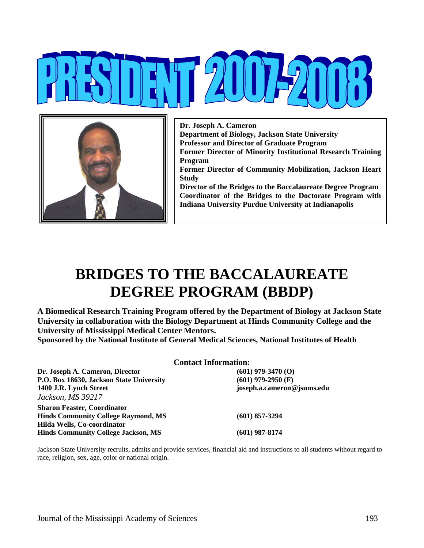

**Dr. Joseph A. Cameron Department of Biology, Jackson State University Professor and Director of Graduate Program Former Director of Minority Institutional Research Training Program Former Director of Community Mobilization, Jackson Heart Study Director of the Bridges to the Baccalaureate Degree Program Coordinator of the Bridges to the Doctorate Program with Indiana University Purdue University at Indianapolis** 

# **BRIDGES TO THE BACCALAUREATE DEGREE PROGRAM (BBDP)**

**A Biomedical Research Training Program offered by the Department of Biology at Jackson State University in collaboration with the Biology Department at Hinds Community College and the University of Mississippi Medical Center Mentors.** 

**Sponsored by the National Institute of General Medical Sciences, National Institutes of Health** 

|                                            | <b>Contact Information:</b> |  |
|--------------------------------------------|-----------------------------|--|
| Dr. Joseph A. Cameron, Director            | $(601)$ 979-3470 $(0)$      |  |
| P.O. Box 18630, Jackson State University   | $(601)$ 979-2950 (F)        |  |
| 1400 J.R. Lynch Street                     | joseph.a.cameron@jsums.edu  |  |
| Jackson, MS 39217                          |                             |  |
| Sharon Feaster, Coordinator                |                             |  |
| <b>Hinds Community College Raymond, MS</b> | $(601)$ 857-3294            |  |
| Hilda Wells, Co-coordinator                |                             |  |
| <b>Hinds Community College Jackson, MS</b> | (601) 987-8174              |  |

Jackson State University recruits, admits and provide services, financial aid and instructions to all students without regard to race, religion, sex, age, color or national origin.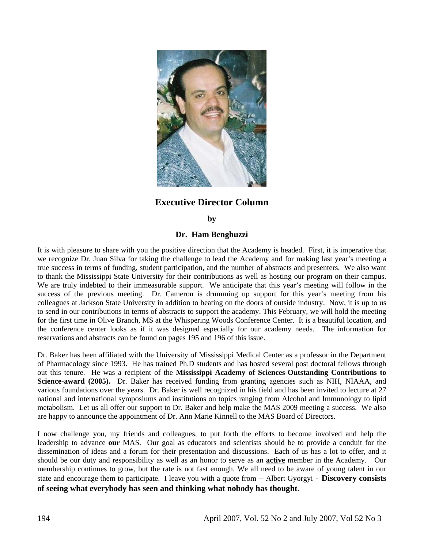

#### **Executive Director Column**

#### **by**

#### **Dr. Ham Benghuzzi**

It is with pleasure to share with you the positive direction that the Academy is headed. First, it is imperative that we recognize Dr. Juan Silva for taking the challenge to lead the Academy and for making last year's meeting a true success in terms of funding, student participation, and the number of abstracts and presenters. We also want to thank the Mississippi State University for their contributions as well as hosting our program on their campus. We are truly indebted to their immeasurable support. We anticipate that this year's meeting will follow in the success of the previous meeting. Dr. Cameron is drumming up support for this year's meeting from his colleagues at Jackson State University in addition to beating on the doors of outside industry. Now, it is up to us to send in our contributions in terms of abstracts to support the academy. This February, we will hold the meeting for the first time in Olive Branch, MS at the Whispering Woods Conference Center. It is a beautiful location, and the conference center looks as if it was designed especially for our academy needs. The information for reservations and abstracts can be found on pages 195 and 196 of this issue.

Dr. Baker has been affiliated with the University of Mississippi Medical Center as a professor in the Department of Pharmacology since 1993. He has trained Ph.D students and has hosted several post doctoral fellows through out this tenure. He was a recipient of the **Mississippi Academy of Sciences-Outstanding Contributions to Science-award (2005).** Dr. Baker has received funding from granting agencies such as NIH, NIAAA, and various foundations over the years. Dr. Baker is well recognized in his field and has been invited to lecture at 27 national and international symposiums and institutions on topics ranging from Alcohol and Immunology to lipid metabolism. Let us all offer our support to Dr. Baker and help make the MAS 2009 meeting a success. We also are happy to announce the appointment of Dr. Ann Marie Kinnell to the MAS Board of Directors.

I now challenge you, my friends and colleagues, to put forth the efforts to become involved and help the leadership to advance **our** MAS. Our goal as educators and scientists should be to provide a conduit for the dissemination of ideas and a forum for their presentation and discussions. Each of us has a lot to offer, and it should be our duty and responsibility as well as an honor to serve as an **active** member in the Academy. Our membership continues to grow, but the rate is not fast enough. We all need to be aware of young talent in our state and encourage them to participate. I leave you with a quote from -- Albert Gyorgyi - **Discovery consists of seeing what everybody has seen and thinking what nobody has thought**.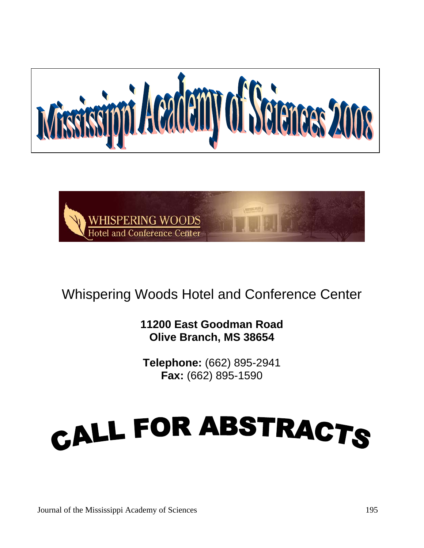



# Whispering Woods Hotel and Conference Center

**11200 East Goodman Road Olive Branch, MS 38654** 

**Telephone:** (662) 895-2941 **Fax:** (662) 895-1590

# CALL FOR ABSTRACTS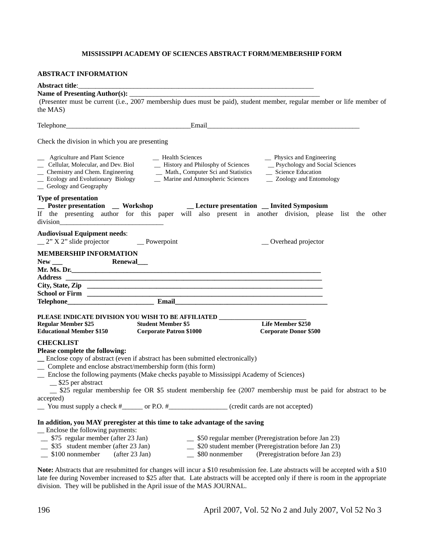#### **MISSISSIPPI ACADEMY OF SCIENCES ABSTRACT FORM/MEMBERSHIP FORM**

#### **ABSTRACT INFORMATION**

| <b>Abstract title:</b>                                                                                                | <u> 2000 - 2000 - 2000 - 2000 - 2000 - 2000 - 2000 - 2000 - 2000 - 2000 - 2000 - 2000 - 2000 - 2000 - 2000 - 200</u>                                                                                                                 |                                                                                                                        |  |
|-----------------------------------------------------------------------------------------------------------------------|--------------------------------------------------------------------------------------------------------------------------------------------------------------------------------------------------------------------------------------|------------------------------------------------------------------------------------------------------------------------|--|
|                                                                                                                       |                                                                                                                                                                                                                                      |                                                                                                                        |  |
|                                                                                                                       |                                                                                                                                                                                                                                      | (Presenter must be current (i.e., 2007 membership dues must be paid), student member, regular member or life member of |  |
| the MAS)                                                                                                              |                                                                                                                                                                                                                                      |                                                                                                                        |  |
|                                                                                                                       |                                                                                                                                                                                                                                      |                                                                                                                        |  |
|                                                                                                                       |                                                                                                                                                                                                                                      |                                                                                                                        |  |
| Check the division in which you are presenting                                                                        |                                                                                                                                                                                                                                      |                                                                                                                        |  |
| _ Agriculture and Plant Science<br>_ Geology and Geography                                                            | - Health Sciences                                                                                                                                                                                                                    | _ Physics and Engineering<br>_Psychology and Social Sciences<br>Science Education<br>- Zoology and Entomology          |  |
| <b>Type of presentation</b>                                                                                           |                                                                                                                                                                                                                                      |                                                                                                                        |  |
|                                                                                                                       | _ Poster presentation _ Workshop _ _ Lecture presentation _ Invited Symposium                                                                                                                                                        | If the presenting author for this paper will also present in another division, please list the other                   |  |
| <b>Audiovisual Equipment needs:</b><br>$2" X 2"$ slide projector Powerpoint                                           |                                                                                                                                                                                                                                      | _ Overhead projector                                                                                                   |  |
| <b>MEMBERSHIP INFORMATION</b>                                                                                         |                                                                                                                                                                                                                                      |                                                                                                                        |  |
| $New \_\_$                                                                                                            | Renewal___                                                                                                                                                                                                                           |                                                                                                                        |  |
|                                                                                                                       | Mr. Ms. Dr.                                                                                                                                                                                                                          |                                                                                                                        |  |
|                                                                                                                       | Address <b>contract and the contract of the contract of the contract of the contract of the contract of the contract of the contract of the contract of the contract of the contract of the contract of the contract of the cont</b> |                                                                                                                        |  |
|                                                                                                                       |                                                                                                                                                                                                                                      |                                                                                                                        |  |
|                                                                                                                       |                                                                                                                                                                                                                                      |                                                                                                                        |  |
|                                                                                                                       |                                                                                                                                                                                                                                      |                                                                                                                        |  |
|                                                                                                                       | PLEASE INDICATE DIVISION YOU WISH TO BE AFFILIATED _______________________                                                                                                                                                           |                                                                                                                        |  |
| <b>Regular Member \$25</b><br><b>Educational Member \$150</b>                                                         | <b>Student Member \$5</b><br><b>Corporate Patron \$1000</b>                                                                                                                                                                          | Life Member \$250<br><b>Corporate Donor \$500</b>                                                                      |  |
| <b>CHECKLIST</b>                                                                                                      |                                                                                                                                                                                                                                      |                                                                                                                        |  |
| Please complete the following:                                                                                        |                                                                                                                                                                                                                                      |                                                                                                                        |  |
|                                                                                                                       | _ Enclose copy of abstract (even if abstract has been submitted electronically)                                                                                                                                                      |                                                                                                                        |  |
|                                                                                                                       | _ Complete and enclose abstract/membership form (this form)                                                                                                                                                                          |                                                                                                                        |  |
| $\equiv$ \$25 per abstract                                                                                            | _ Enclose the following payments (Make checks payable to Mississippi Academy of Sciences)                                                                                                                                            |                                                                                                                        |  |
|                                                                                                                       |                                                                                                                                                                                                                                      | _ \$25 regular membership fee OR \$5 student membership fee (2007 membership must be paid for abstract to be           |  |
| accepted)                                                                                                             | You must supply a check #_______ or P.O. #_____________________(credit cards are not accepted)                                                                                                                                       |                                                                                                                        |  |
|                                                                                                                       | In addition, you MAY preregister at this time to take advantage of the saving                                                                                                                                                        |                                                                                                                        |  |
| _ Enclose the following payments:                                                                                     |                                                                                                                                                                                                                                      |                                                                                                                        |  |
| $\frac{1}{2}$ \$75 regular member (after 23 Jan)<br>$\frac{1}{2}$ \$50 regular member (Preregistration before Jan 23) |                                                                                                                                                                                                                                      |                                                                                                                        |  |
| \$35 student member (after 23 Jan)<br>_\$20 student member (Preregistration before Jan 23)                            |                                                                                                                                                                                                                                      |                                                                                                                        |  |
| \$100 nonmember                                                                                                       | \$80 nonmember<br>(after 23 Jan)                                                                                                                                                                                                     | (Preregistration before Jan 23)                                                                                        |  |

**Note:** Abstracts that are resubmitted for changes will incur a \$10 resubmission fee. Late abstracts will be accepted with a \$10 late fee during November increased to \$25 after that. Late abstracts will be accepted only if there is room in the appropriate division. They will be published in the April issue of the MAS JOURNAL.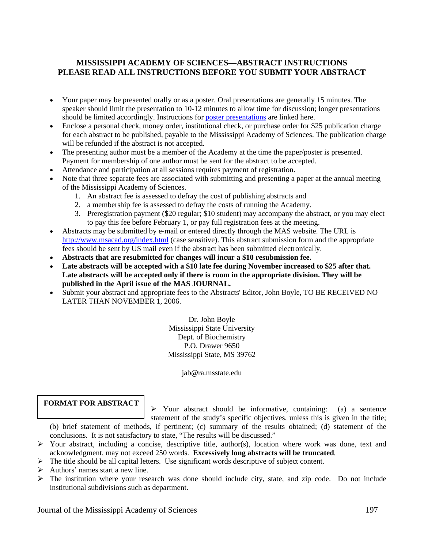#### **MISSISSIPPI ACADEMY OF SCIENCES—ABSTRACT INSTRUCTIONS PLEASE READ ALL INSTRUCTIONS BEFORE YOU SUBMIT YOUR ABSTRACT**

- Your paper may be presented orally or as a poster. Oral presentations are generally 15 minutes. The speaker should limit the presentation to 10-12 minutes to allow time for discussion; longer presentations should be limited accordingly. Instructions for poster presentations are linked here.
- Enclose a personal check, money order, institutional check, or purchase order for \$25 publication charge for each abstract to be published, payable to the Mississippi Academy of Sciences. The publication charge will be refunded if the abstract is not accepted.
- The presenting author must be a member of the Academy at the time the paper/poster is presented. Payment for membership of one author must be sent for the abstract to be accepted.
- Attendance and participation at all sessions requires payment of registration.
- Note that three separate fees are associated with submitting and presenting a paper at the annual meeting of the Mississippi Academy of Sciences.
	- 1. An abstract fee is assessed to defray the cost of publishing abstracts and
	- 2. a membership fee is assessed to defray the costs of running the Academy.
	- 3. Preregistration payment (\$20 regular; \$10 student) may accompany the abstract, or you may elect to pay this fee before February 1, or pay full registration fees at the meeting.
- Abstracts may be submitted by e-mail or entered directly through the MAS website. The URL is http://www.msacad.org/index.html (case sensitive). This abstract submission form and the appropriate fees should be sent by US mail even if the abstract has been submitted electronically.
- **Abstracts that are resubmitted for changes will incur a \$10 resubmission fee.**
- Late abstracts will be accepted with a \$10 late fee during November increased to \$25 after that. **Late abstracts will be accepted only if there is room in the appropriate division. They will be published in the April issue of the MAS JOURNAL.**
- Submit your abstract and appropriate fees to the Abstracts' Editor, John Boyle, TO BE RECEIVED NO LATER THAN NOVEMBER 1, 2006.

Dr. John Boyle Mississippi State University Dept. of Biochemistry P.O. Drawer 9650 Mississippi State, MS 39762

jab@ra.msstate.edu

#### **FORMAT FOR ABSTRACT**

¾ Your abstract should be informative, containing: (a) a sentence statement of the study's specific objectives, unless this is given in the title;

(b) brief statement of methods, if pertinent; (c) summary of the results obtained; (d) statement of the conclusions. It is not satisfactory to state, "The results will be discussed."

- $\triangleright$  Your abstract, including a concise, descriptive title, author(s), location where work was done, text and acknowledgment, may not exceed 250 words. **Excessively long abstracts will be truncated***.*
- $\triangleright$  The title should be all capital letters. Use significant words descriptive of subject content.
- $\triangleright$  Authors' names start a new line.
- ¾ The institution where your research was done should include city, state, and zip code. Do not include institutional subdivisions such as department.

Journal of the Mississippi Academy of Sciences 197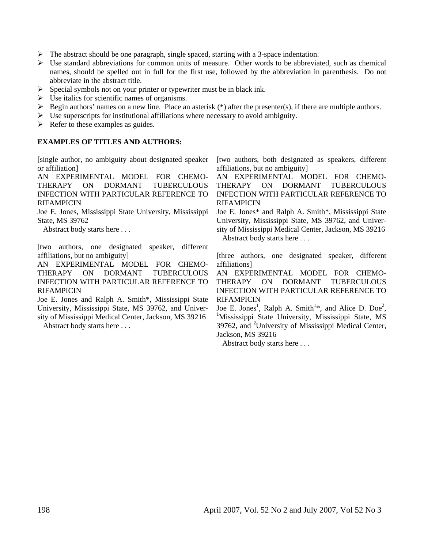- $\triangleright$  The abstract should be one paragraph, single spaced, starting with a 3-space indentation.
- $\triangleright$  Use standard abbreviations for common units of measure. Other words to be abbreviated, such as chemical names, should be spelled out in full for the first use, followed by the abbreviation in parenthesis. Do not abbreviate in the abstract title.
- ¾ Special symbols not on your printer or typewriter must be in black ink.
- $\triangleright$  Use italics for scientific names of organisms.
- $\triangleright$  Begin authors' names on a new line. Place an asterisk (\*) after the presenter(s), if there are multiple authors.
- $\triangleright$  Use superscripts for institutional affiliations where necessary to avoid ambiguity.
- $\triangleright$  Refer to these examples as guides.

#### **EXAMPLES OF TITLES AND AUTHORS:**

[single author, no ambiguity about designated speaker or affiliation]

AN EXPERIMENTAL MODEL FOR CHEMO-THERAPY ON DORMANT TUBERCULOUS INFECTION WITH PARTICULAR REFERENCE TO RIFAMPICIN

Joe E. Jones, Mississippi State University, Mississippi State, MS 39762

Abstract body starts here . . .

[two authors, one designated speaker, different affiliations, but no ambiguity]

AN EXPERIMENTAL MODEL FOR CHEMO-THERAPY ON DORMANT TUBERCULOUS INFECTION WITH PARTICULAR REFERENCE TO RIFAMPICIN

Joe E. Jones and Ralph A. Smith\*, Mississippi State University, Mississippi State, MS 39762, and University of Mississippi Medical Center, Jackson, MS 39216

Abstract body starts here . . .

[two authors, both designated as speakers, different affiliations, but no ambiguity]

AN EXPERIMENTAL MODEL FOR CHEMO-THERAPY ON DORMANT TUBERCULOUS INFECTION WITH PARTICULAR REFERENCE TO RIFAMPICIN

Joe E. Jones\* and Ralph A. Smith\*, Mississippi State University, Mississippi State, MS 39762, and University of Mississippi Medical Center, Jackson, MS 39216 Abstract body starts here . . .

[three authors, one designated speaker, different affiliations]

AN EXPERIMENTAL MODEL FOR CHEMO-THERAPY ON DORMANT TUBERCULOUS INFECTION WITH PARTICULAR REFERENCE TO RIFAMPICIN

Joe E. Jones<sup>1</sup>, Ralph A. Smith<sup>1\*</sup>, and Alice D. Doe<sup>2</sup>,  $\frac{1 \text{Maclidean}}{S}$ <sup>1</sup>Mississippi State University, Mississippi State, MS 39762, and <sup>2</sup>University of Mississippi Medical Center, Jackson, MS 39216

Abstract body starts here . . .